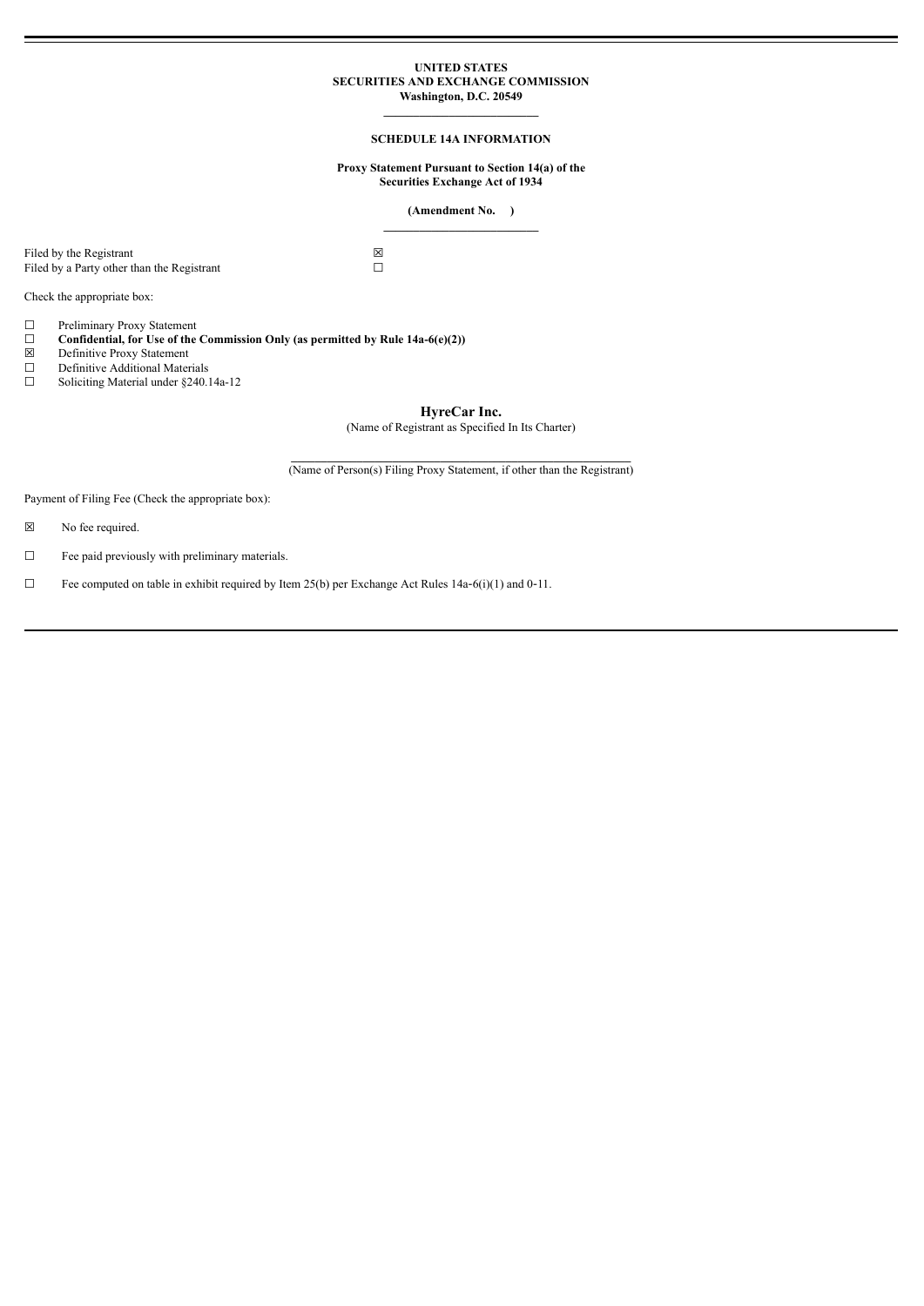## **UNITED STATES SECURITIES AND EXCHANGE COMMISSION Washington, D.C. 20549**

# **\_\_\_\_\_\_\_\_\_\_\_\_\_\_\_\_\_\_\_\_\_\_\_\_\_\_ SCHEDULE 14A INFORMATION**

### **Proxy Statement Pursuant to Section 14(a) of the Securities Exchange Act of 1934**

## **(Amendment No. ) \_\_\_\_\_\_\_\_\_\_\_\_\_\_\_\_\_\_\_\_\_\_\_\_\_\_**

Filed by the Registrant  $\boxtimes$ <br>Filed by a Party other than the Registrant  $\square$ Filed by a Party other than the Registrant

Check the appropriate box:

□ Preliminary Proxy Statement<br>□ **Confidential, for Use of the** 

- **□ Confidential, for Use of the Commission Only (as permitted by Rule 14a-6(e)(2))**<br> **□ Definitive Additional Materials**<br>
□ **Soliciting Material under §240.14a-12**
- ☒ Definitive Proxy Statement
- Definitive Additional Materials
- Soliciting Material under §240.14a-12

**HyreCar Inc.**

(Name of Registrant as Specified In Its Charter)

 $\mathcal{L} = \{ \mathcal{L} \mathcal{L} \mathcal{L} \mathcal{L} \mathcal{L} \mathcal{L} \mathcal{L} \mathcal{L} \mathcal{L} \mathcal{L} \mathcal{L} \mathcal{L} \mathcal{L} \mathcal{L} \mathcal{L} \mathcal{L} \mathcal{L} \mathcal{L} \mathcal{L} \mathcal{L} \mathcal{L} \mathcal{L} \mathcal{L} \mathcal{L} \mathcal{L} \mathcal{L} \mathcal{L} \mathcal{L} \mathcal{L} \mathcal{L} \mathcal{L} \mathcal{L} \mathcal{L} \mathcal{L} \mathcal{L} \$ (Name of Person(s) Filing Proxy Statement, if other than the Registrant)

Payment of Filing Fee (Check the appropriate box):

☒ No fee required.

☐ Fee paid previously with preliminary materials.

□ Fee computed on table in exhibit required by Item  $25(b)$  per Exchange Act Rules 14a–6(i)(1) and 0-11.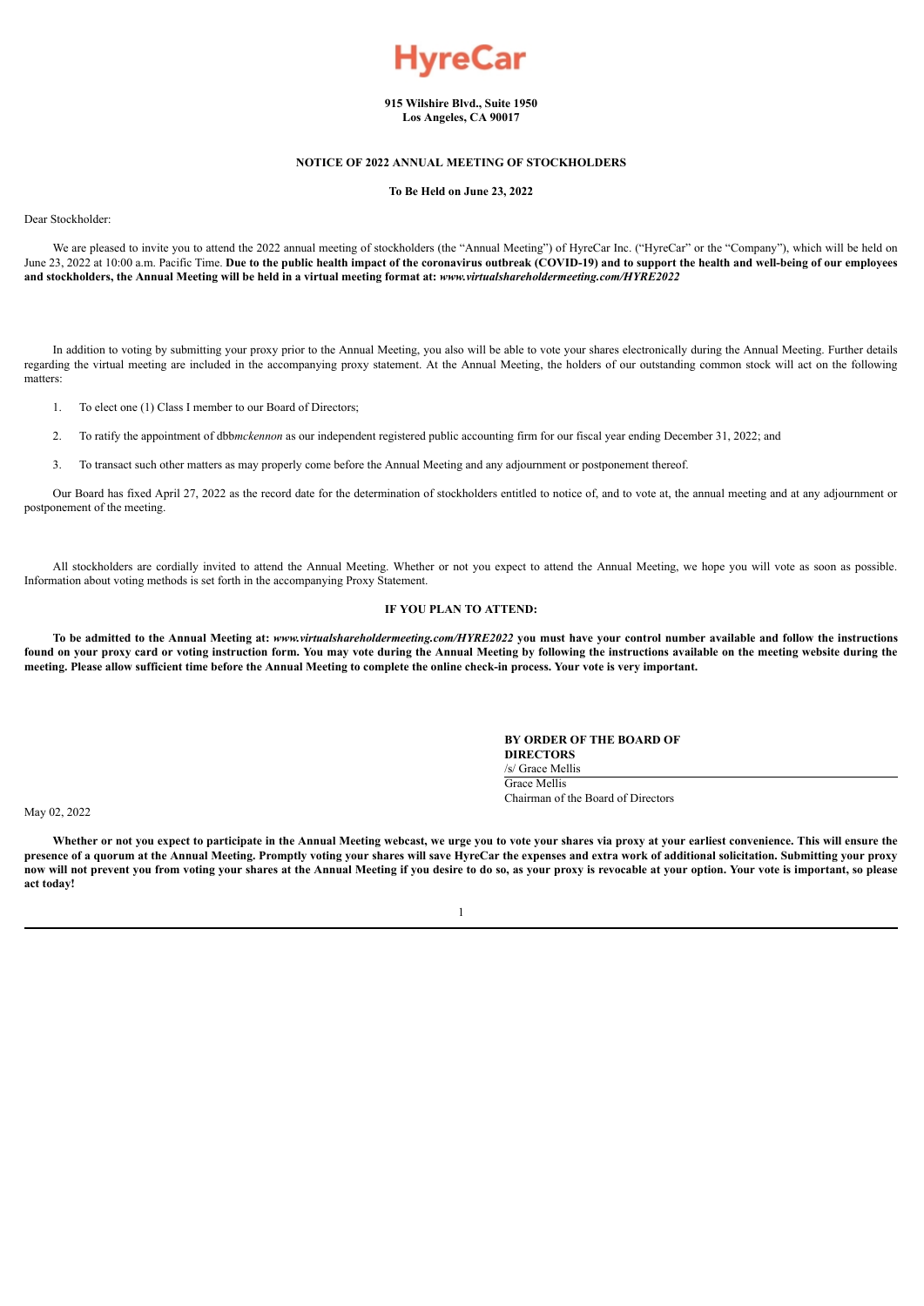

**915 Wilshire Blvd., Suite 1950 Los Angeles, CA 90017**

# **NOTICE OF 2022 ANNUAL MEETING OF STOCKHOLDERS**

**To Be Held on June 23, 2022**

# Dear Stockholder:

We are pleased to invite you to attend the 2022 annual meeting of stockholders (the "Annual Meeting") of HyreCar Inc. ("HyreCar" or the "Company"), which will be held on June 23, 2022 at 10:00 a.m. Pacific Time. Due to the public health impact of the coronavirus outbreak (COVID-19) and to support the health and well-being of our employees and stockholders, the Annual Meeting will be held in a virtual meeting format at: www.virtualshareholdermeeting.com/HYRE2022

In addition to voting by submitting your proxy prior to the Annual Meeting, you also will be able to vote your shares electronically during the Annual Meeting. Further details regarding the virtual meeting are included in the accompanying proxy statement. At the Annual Meeting, the holders of our outstanding common stock will act on the following matters:

- 1. To elect one (1) Class I member to our Board of Directors;
- 2. To ratify the appointment of dbb*mckennon* as our independent registered public accounting firm for our fiscal year ending December 31, 2022; and
- 3. To transact such other matters as may properly come before the Annual Meeting and any adjournment or postponement thereof.

Our Board has fixed April 27, 2022 as the record date for the determination of stockholders entitled to notice of, and to vote at, the annual meeting and at any adjournment or postponement of the meeting.

All stockholders are cordially invited to attend the Annual Meeting. Whether or not you expect to attend the Annual Meeting, we hope you will vote as soon as possible. Information about voting methods is set forth in the accompanying Proxy Statement.

# **IF YOU PLAN TO ATTEND:**

To be admitted to the Annual Meeting at: www.virtualshareholdermeeting.com/HYRE2022 you must have your control number available and follow the instructions found on your proxy card or voting instruction form. You may vote during the Annual Meeting by following the instructions available on the meeting website during the meeting. Please allow sufficient time before the Annual Meeting to complete the online check-in process. Your vote is very important.

### **BY ORDER OF THE BOARD OF DIRECTORS** /s/ Grace Mellis

Grace Mellis Chairman of the Board of Directors

May 02, 2022

Whether or not you expect to participate in the Annual Meeting webcast, we urge you to vote your shares via proxy at your earliest convenience. This will ensure the presence of a quorum at the Annual Meeting. Promptly voting your shares will save HyreCar the expenses and extra work of additional solicitation. Submitting your proxy now will not prevent you from voting your shares at the Annual Meeting if you desire to do so, as your proxy is revocable at your option. Your vote is important, so please **act today!**

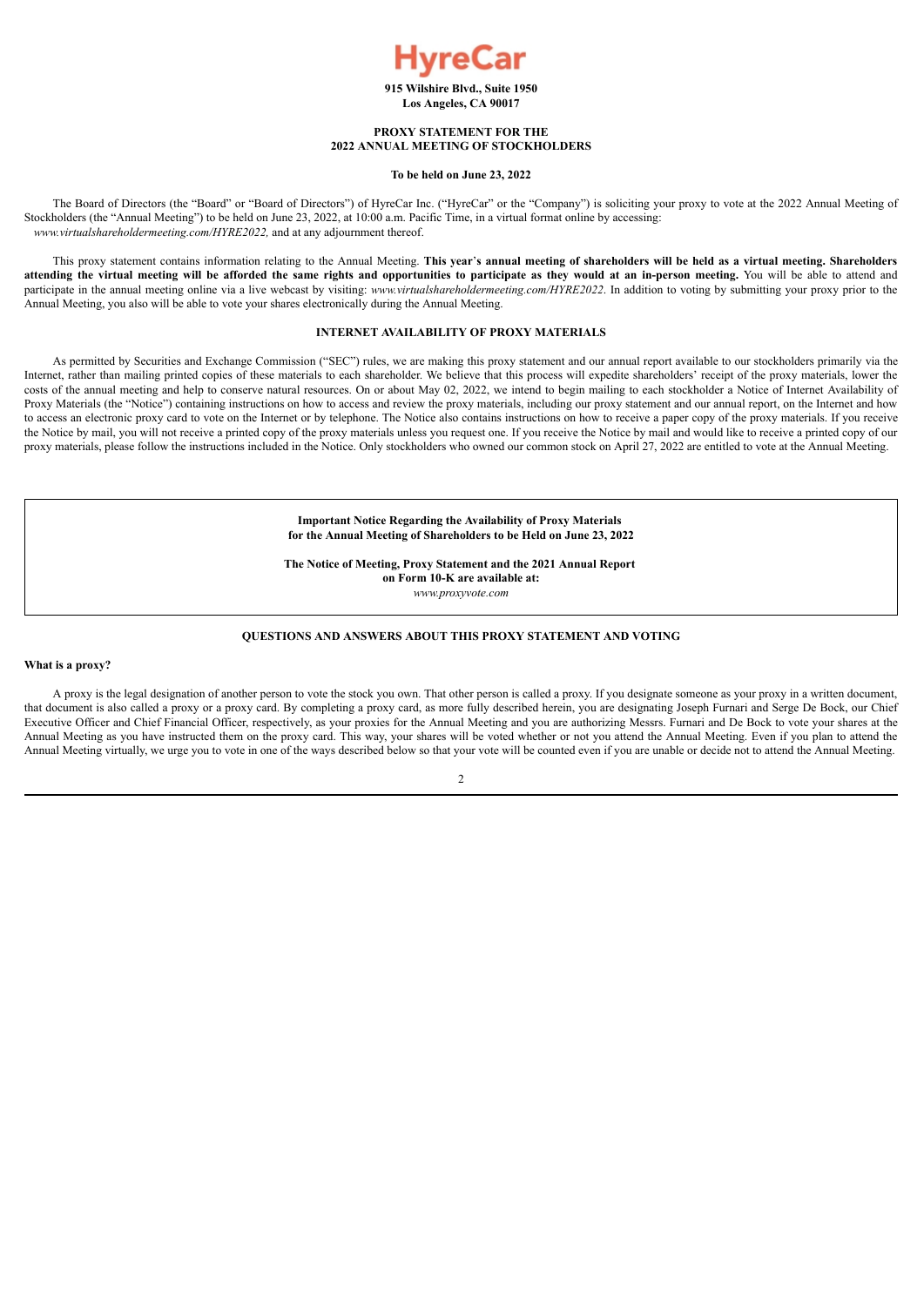

**Los Angeles, CA 90017**

# **PROXY STATEMENT FOR THE 2022 ANNUAL MEETING OF STOCKHOLDERS**

### **To be held on June 23, 2022**

The Board of Directors (the "Board" or "Board of Directors") of HyreCar Inc. ("HyreCar" or the "Company") is soliciting your proxy to vote at the 2022 Annual Meeting of Stockholders (the "Annual Meeting") to be held on June 23, 2022, at 10:00 a.m. Pacific Time, in a virtual format online by accessing: *www.virtualshareholdermeeting.com/HYRE2022,* and at any adjournment thereof.

This proxy statement contains information relating to the Annual Meeting. This year's annual meeting of shareholders will be held as a virtual meeting. Shareholders attending the virtual meeting will be afforded the same rights and opportunities to participate as they would at an in-person meeting. You will be able to attend and participate in the annual meeting online via a live webcast by visiting: *www.virtualshareholdermeeting.com*/*HYRE2022*. In addition to voting by submitting your proxy prior to the Annual Meeting, you also will be able to vote your shares electronically during the Annual Meeting.

# **INTERNET AVAILABILITY OF PROXY MATERIALS**

As permitted by Securities and Exchange Commission ("SEC") rules, we are making this proxy statement and our annual report available to our stockholders primarily via the Internet, rather than mailing printed copies of these materials to each shareholder. We believe that this process will expedite shareholders' receipt of the proxy materials, lower the costs of the annual meeting and help to conserve natural resources. On or about May 02, 2022, we intend to begin mailing to each stockholder a Notice of Internet Availability of Proxy Materials (the "Notice") containing instructions on how to access and review the proxy materials, including our proxy statement and our annual report, on the Internet and how to access an electronic proxy card to vote on the Internet or by telephone. The Notice also contains instructions on how to receive a paper copy of the proxy materials. If you receive the Notice by mail, you will not receive a printed copy of the proxy materials unless you request one. If you receive the Notice by mail and would like to receive a printed copy of our proxy materials, please follow the instructions included in the Notice. Only stockholders who owned our common stock on April 27, 2022 are entitled to vote at the Annual Meeting.

> **Important Notice Regarding the Availability of Proxy Materials for the Annual Meeting of Shareholders to be Held on June 23, 2022**

> **The Notice of Meeting, Proxy Statement and the 2021 Annual Report on Form 10-K are available at:**

*www.proxyvote.com*

# **QUESTIONS AND ANSWERS ABOUT THIS PROXY STATEMENT AND VOTING**

#### **What is a proxy?**

A proxy is the legal designation of another person to vote the stock you own. That other person is called a proxy. If you designate someone as your proxy in a written document, that document is also called a proxy or a proxy card. By completing a proxy card, as more fully described herein, you are designating Joseph Furnari and Serge De Bock, our Chief Executive Officer and Chief Financial Officer, respectively, as your proxies for the Annual Meeting and you are authorizing Messrs. Furnari and De Bock to vote your shares at the Annual Meeting as you have instructed them on the proxy card. This way, your shares will be voted whether or not you attend the Annual Meeting. Even if you plan to attend the Annual Meeting virtually, we urge you to vote in one of the ways described below so that your vote will be counted even if you are unable or decide not to attend the Annual Meeting.

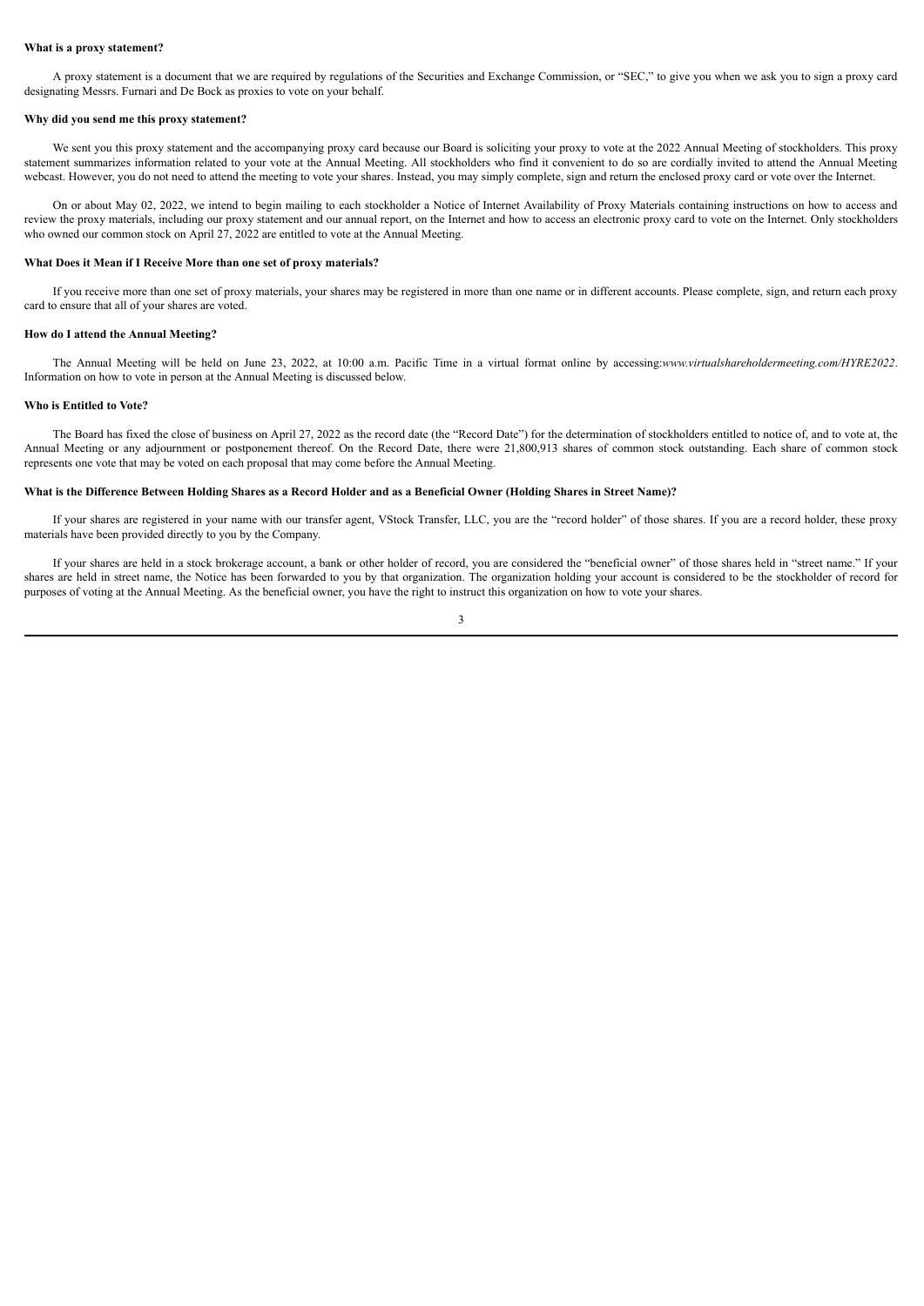### **What is a proxy statement?**

A proxy statement is a document that we are required by regulations of the Securities and Exchange Commission, or "SEC," to give you when we ask you to sign a proxy card designating Messrs. Furnari and De Bock as proxies to vote on your behalf.

#### **Why did you send me this proxy statement?**

We sent you this proxy statement and the accompanying proxy card because our Board is soliciting your proxy to vote at the 2022 Annual Meeting of stockholders. This proxy statement summarizes information related to your vote at the Annual Meeting. All stockholders who find it convenient to do so are cordially invited to attend the Annual Meeting webcast. However, you do not need to attend the meeting to vote your shares. Instead, you may simply complete, sign and return the enclosed proxy card or vote over the Internet.

On or about May 02, 2022, we intend to begin mailing to each stockholder a Notice of Internet Availability of Proxy Materials containing instructions on how to access and review the proxy materials, including our proxy statement and our annual report, on the Internet and how to access an electronic proxy card to vote on the Internet. Only stockholders who owned our common stock on April 27, 2022 are entitled to vote at the Annual Meeting.

# **What Does it Mean if I Receive More than one set of proxy materials?**

If you receive more than one set of proxy materials, your shares may be registered in more than one name or in different accounts. Please complete, sign, and return each proxy card to ensure that all of your shares are voted.

#### **How do I attend the Annual Meeting?**

The Annual Meeting will be held on June 23, 2022, at 10:00 a.m. Pacific Time in a virtual format online by accessing:*www.virtualshareholdermeeting.com/HYRE2022*. Information on how to vote in person at the Annual Meeting is discussed below.

### **Who is Entitled to Vote?**

The Board has fixed the close of business on April 27, 2022 as the record date (the "Record Date") for the determination of stockholders entitled to notice of, and to vote at, the Annual Meeting or any adjournment or postponement thereof. On the Record Date, there were 21,800,913 shares of common stock outstanding. Each share of common stock represents one vote that may be voted on each proposal that may come before the Annual Meeting.

### What is the Difference Between Holding Shares as a Record Holder and as a Beneficial Owner (Holding Shares in Street Name)?

If your shares are registered in your name with our transfer agent, VStock Transfer, LLC, you are the "record holder" of those shares. If you are a record holder, these proxy materials have been provided directly to you by the Company.

If your shares are held in a stock brokerage account, a bank or other holder of record, you are considered the "beneficial owner" of those shares held in "street name." If your shares are held in street name, the Notice has been forwarded to you by that organization. The organization holding your account is considered to be the stockholder of record for purposes of voting at the Annual Meeting. As the beneficial owner, you have the right to instruct this organization on how to vote your shares.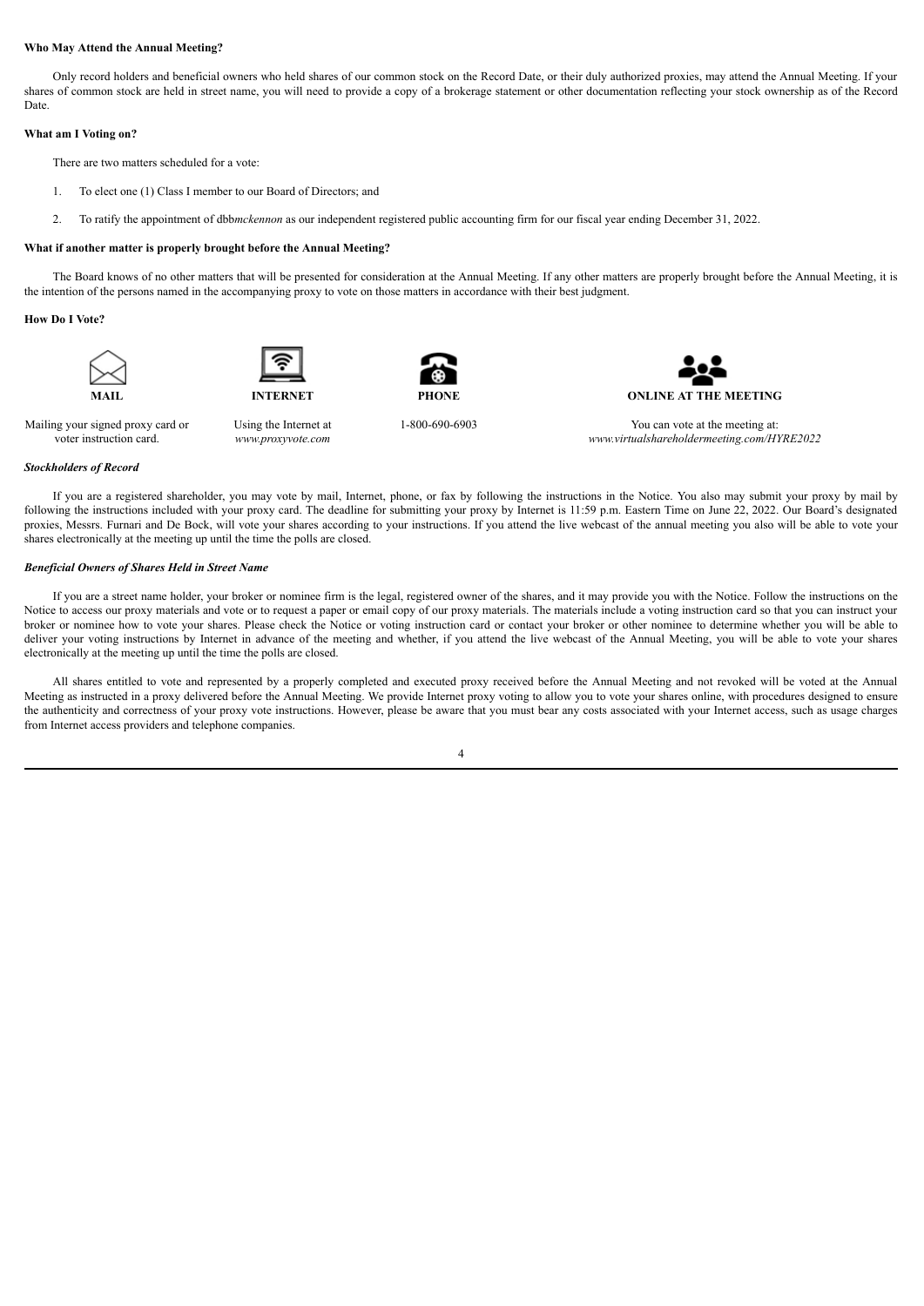# **Who May Attend the Annual Meeting?**

Only record holders and beneficial owners who held shares of our common stock on the Record Date, or their duly authorized proxies, may attend the Annual Meeting. If your shares of common stock are held in street name, you will need to provide a copy of a brokerage statement or other documentation reflecting your stock ownership as of the Record Date.

# **What am I Voting on?**

There are two matters scheduled for a vote:

- 1. To elect one (1) Class I member to our Board of Directors; and
- 2. To ratify the appointment of dbb*mckennon* as our independent registered public accounting firm for our fiscal year ending December 31, 2022.

# **What if another matter is properly brought before the Annual Meeting?**

The Board knows of no other matters that will be presented for consideration at the Annual Meeting. If any other matters are properly brought before the Annual Meeting, it is the intention of the persons named in the accompanying proxy to vote on those matters in accordance with their best judgment.

### **How Do I Vote?**





Using the Internet at *www.proxyvote.com*



**MAIL INTERNET PHONE ONLINE AT THE MEETING**

Mailing your signed proxy card or voter instruction card.

1-800-690-6903 You can vote at the meeting at: *www.virtualshareholdermeeting.com/HYRE2022*

#### *Stockholders of Record*

If you are a registered shareholder, you may vote by mail, Internet, phone, or fax by following the instructions in the Notice. You also may submit your proxy by mail by following the instructions included with your proxy card. The deadline for submitting your proxy by Internet is 11:59 p.m. Eastern Time on June 22, 2022. Our Board's designated proxies, Messrs. Furnari and De Bock, will vote your shares according to your instructions. If you attend the live webcast of the annual meeting you also will be able to vote your shares electronically at the meeting up until the time the polls are closed.

# *Beneficial Owners of Shares Held in Street Name*

If you are a street name holder, your broker or nominee firm is the legal, registered owner of the shares, and it may provide you with the Notice. Follow the instructions on the Notice to access our proxy materials and vote or to request a paper or email copy of our proxy materials. The materials include a voting instruction card so that you can instruct your broker or nominee how to vote your shares. Please check the Notice or voting instruction card or contact your broker or other nominee to determine whether you will be able to deliver your voting instructions by Internet in advance of the meeting and whether, if you attend the live webcast of the Annual Meeting, you will be able to vote your shares electronically at the meeting up until the time the polls are closed.

All shares entitled to vote and represented by a properly completed and executed proxy received before the Annual Meeting and not revoked will be voted at the Annual Meeting as instructed in a proxy delivered before the Annual Meeting. We provide Internet proxy voting to allow you to vote your shares online, with procedures designed to ensure the authenticity and correctness of your proxy vote instructions. However, please be aware that you must bear any costs associated with your Internet access, such as usage charges from Internet access providers and telephone companies.

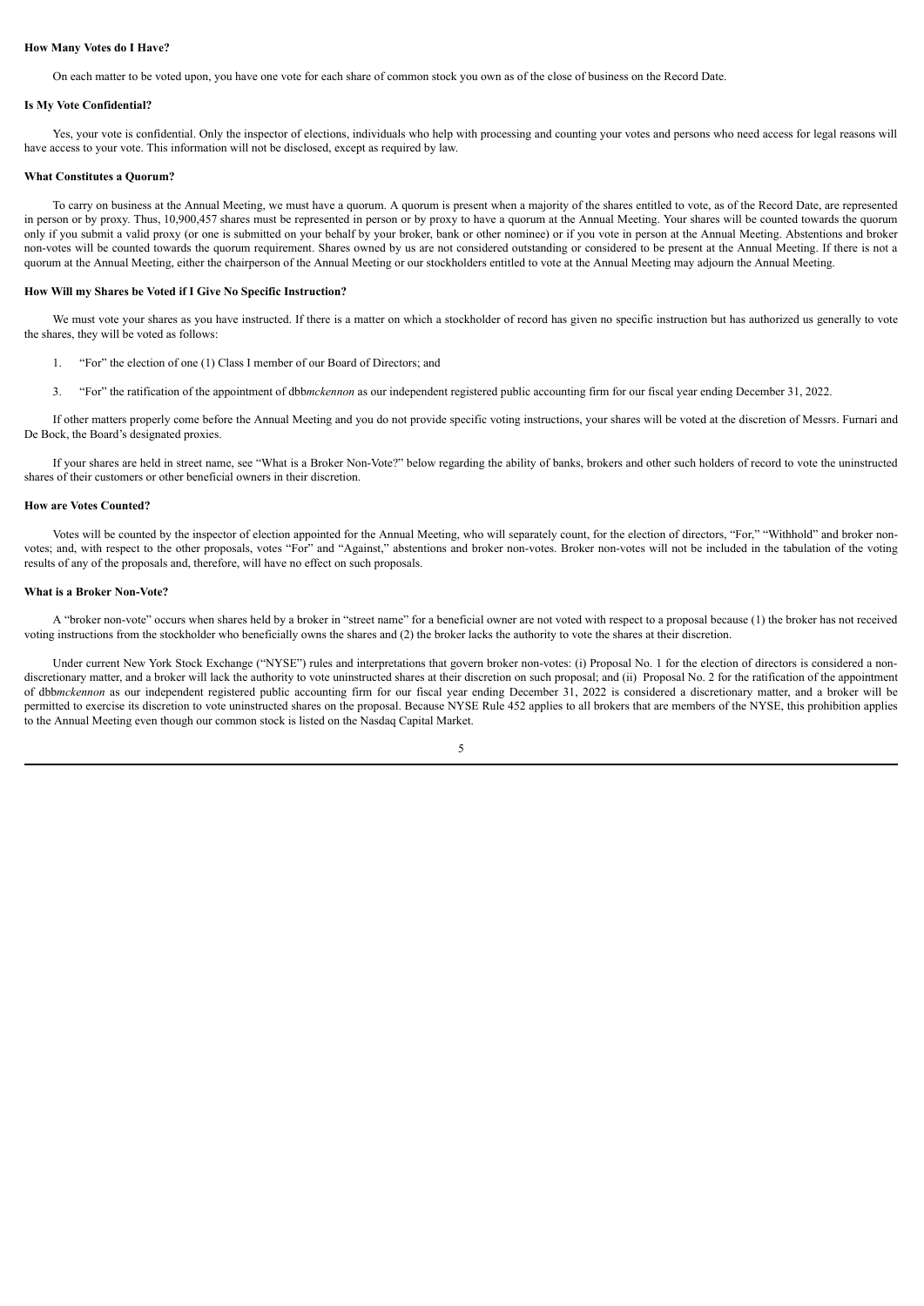# **How Many Votes do I Have?**

On each matter to be voted upon, you have one vote for each share of common stock you own as of the close of business on the Record Date.

#### **Is My Vote Confidential?**

Yes, your vote is confidential. Only the inspector of elections, individuals who help with processing and counting your votes and persons who need access for legal reasons will have access to your vote. This information will not be disclosed, except as required by law.

#### **What Constitutes a Quorum?**

To carry on business at the Annual Meeting, we must have a quorum. A quorum is present when a majority of the shares entitled to vote, as of the Record Date, are represented in person or by proxy. Thus, 10,900,457 shares must be represented in person or by proxy to have a quorum at the Annual Meeting. Your shares will be counted towards the quorum only if you submit a valid proxy (or one is submitted on your behalf by your broker, bank or other nominee) or if you vote in person at the Annual Meeting. Abstentions and broker non-votes will be counted towards the quorum requirement. Shares owned by us are not considered outstanding or considered to be present at the Annual Meeting. If there is not a quorum at the Annual Meeting, either the chairperson of the Annual Meeting or our stockholders entitled to vote at the Annual Meeting may adjourn the Annual Meeting.

#### **How Will my Shares be Voted if I Give No Specific Instruction?**

We must vote your shares as you have instructed. If there is a matter on which a stockholder of record has given no specific instruction but has authorized us generally to vote the shares, they will be voted as follows:

- 1. "For" the election of one (1) Class I member of our Board of Directors; and
- 3. "For" the ratification of the appointment of dbb*mckennon* as our independent registered public accounting firm for our fiscal year ending December 31, 2022.

If other matters properly come before the Annual Meeting and you do not provide specific voting instructions, your shares will be voted at the discretion of Messrs. Furnari and De Bock, the Board's designated proxies.

If your shares are held in street name, see "What is a Broker Non-Vote?" below regarding the ability of banks, brokers and other such holders of record to vote the uninstructed shares of their customers or other beneficial owners in their discretion.

# **How are Votes Counted?**

Votes will be counted by the inspector of election appointed for the Annual Meeting, who will separately count, for the election of directors, "For," "Withhold" and broker nonvotes; and, with respect to the other proposals, votes "For" and "Against," abstentions and broker non-votes. Broker non-votes will not be included in the tabulation of the voting results of any of the proposals and, therefore, will have no effect on such proposals.

#### **What is a Broker Non-Vote?**

A "broker non-vote" occurs when shares held by a broker in "street name" for a beneficial owner are not voted with respect to a proposal because (1) the broker has not received voting instructions from the stockholder who beneficially owns the shares and (2) the broker lacks the authority to vote the shares at their discretion.

Under current New York Stock Exchange ("NYSE") rules and interpretations that govern broker non-votes: (i) Proposal No. 1 for the election of directors is considered a nondiscretionary matter, and a broker will lack the authority to vote uninstructed shares at their discretion on such proposal; and (ii) Proposal No. 2 for the ratification of the appointment of dbb*mckennon* as our independent registered public accounting firm for our fiscal year ending December 31, 2022 is considered a discretionary matter, and a broker will be permitted to exercise its discretion to vote uninstructed shares on the proposal. Because NYSE Rule 452 applies to all brokers that are members of the NYSE, this prohibition applies to the Annual Meeting even though our common stock is listed on the Nasdaq Capital Market.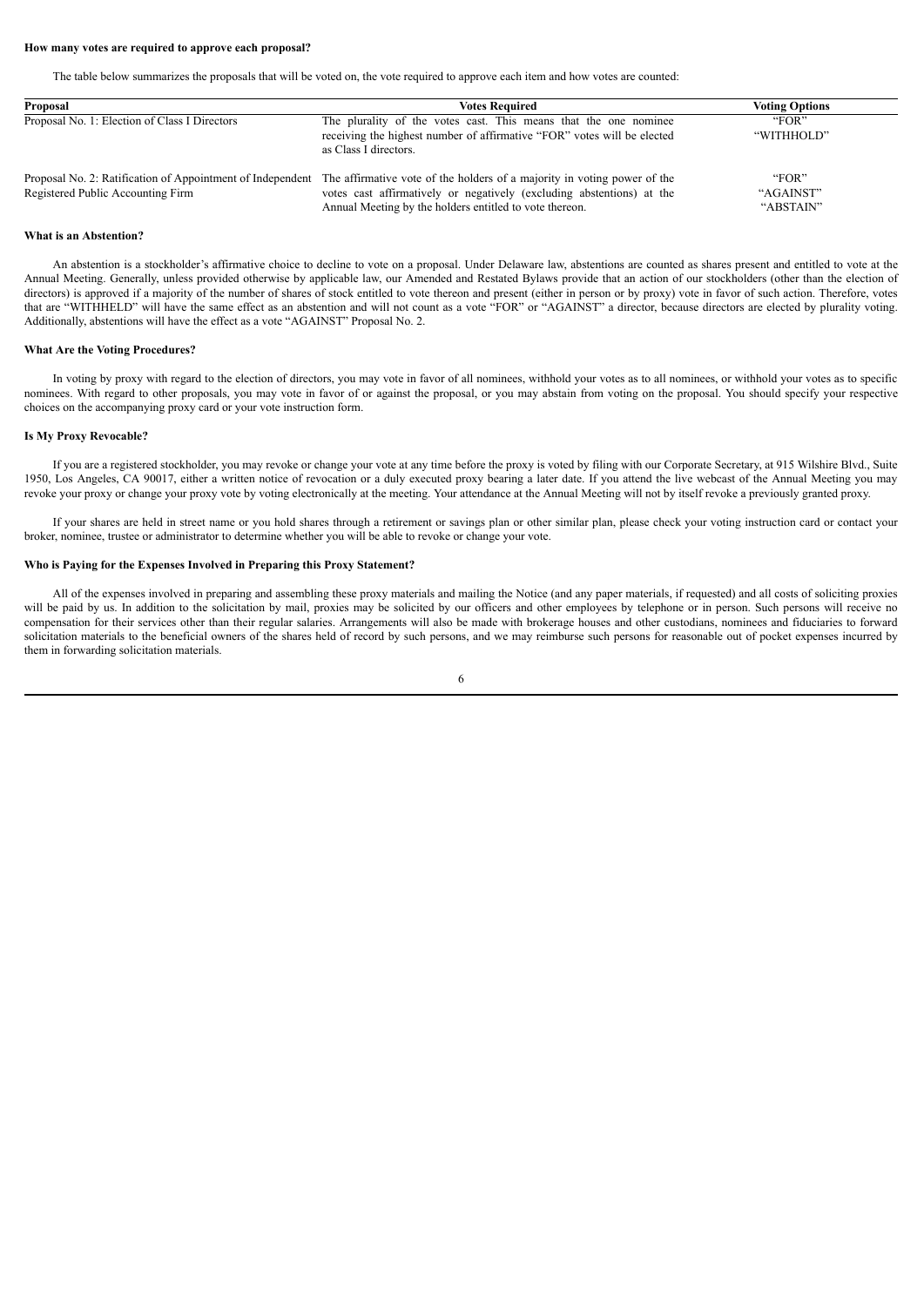### **How many votes are required to approve each proposal?**

The table below summarizes the proposals that will be voted on, the vote required to approve each item and how votes are counted:

| Proposal                                      | <b>Votes Required</b>                                                                                                                                                                                                                                                   | <b>Voting Options</b>           |  |  |
|-----------------------------------------------|-------------------------------------------------------------------------------------------------------------------------------------------------------------------------------------------------------------------------------------------------------------------------|---------------------------------|--|--|
| Proposal No. 1: Election of Class I Directors | The plurality of the votes cast. This means that the one nominee<br>receiving the highest number of affirmative "FOR" votes will be elected<br>as Class I directors.                                                                                                    | "FOR"<br>"WITHHOLD"             |  |  |
| Registered Public Accounting Firm             | Proposal No. 2: Ratification of Appointment of Independent The affirmative vote of the holders of a majority in voting power of the<br>votes cast affirmatively or negatively (excluding abstentions) at the<br>Annual Meeting by the holders entitled to vote thereon. | "FOR"<br>"AGAINST"<br>"ABSTAIN" |  |  |

# **What is an Abstention?**

An abstention is a stockholder's affirmative choice to decline to vote on a proposal. Under Delaware law, abstentions are counted as shares present and entitled to vote at the Annual Meeting. Generally, unless provided otherwise by applicable law, our Amended and Restated Bylaws provide that an action of our stockholders (other than the election of directors) is approved if a majority of the number of shares of stock entitled to vote thereon and present (either in person or by proxy) vote in favor of such action. Therefore, votes that are "WITHHELD" will have the same effect as an abstention and will not count as a vote "FOR" or "AGAINST" a director, because directors are elected by plurality voting. Additionally, abstentions will have the effect as a vote "AGAINST" Proposal No. 2.

#### **What Are the Voting Procedures?**

In voting by proxy with regard to the election of directors, you may vote in favor of all nominees, withhold your votes as to all nominees, or withhold your votes as to specific nominees. With regard to other proposals, you may vote in favor of or against the proposal, or you may abstain from voting on the proposal. You should specify your respective choices on the accompanying proxy card or your vote instruction form.

# **Is My Proxy Revocable?**

If you are a registered stockholder, you may revoke or change your vote at any time before the proxy is voted by filing with our Corporate Secretary, at 915 Wilshire Blvd., Suite 1950, Los Angeles, CA 90017, either a written notice of revocation or a duly executed proxy bearing a later date. If you attend the live webcast of the Annual Meeting you may revoke your proxy or change your proxy vote by voting electronically at the meeting. Your attendance at the Annual Meeting will not by itself revoke a previously granted proxy.

If your shares are held in street name or you hold shares through a retirement or savings plan or other similar plan, please check your voting instruction card or contact your broker, nominee, trustee or administrator to determine whether you will be able to revoke or change your vote.

#### **Who is Paying for the Expenses Involved in Preparing this Proxy Statement?**

All of the expenses involved in preparing and assembling these proxy materials and mailing the Notice (and any paper materials, if requested) and all costs of soliciting proxies will be paid by us. In addition to the solicitation by mail, proxies may be solicited by our officers and other employees by telephone or in person. Such persons will receive no compensation for their services other than their regular salaries. Arrangements will also be made with brokerage houses and other custodians, nominees and fiduciaries to forward solicitation materials to the beneficial owners of the shares held of record by such persons, and we may reimburse such persons for reasonable out of pocket expenses incurred by them in forwarding solicitation materials.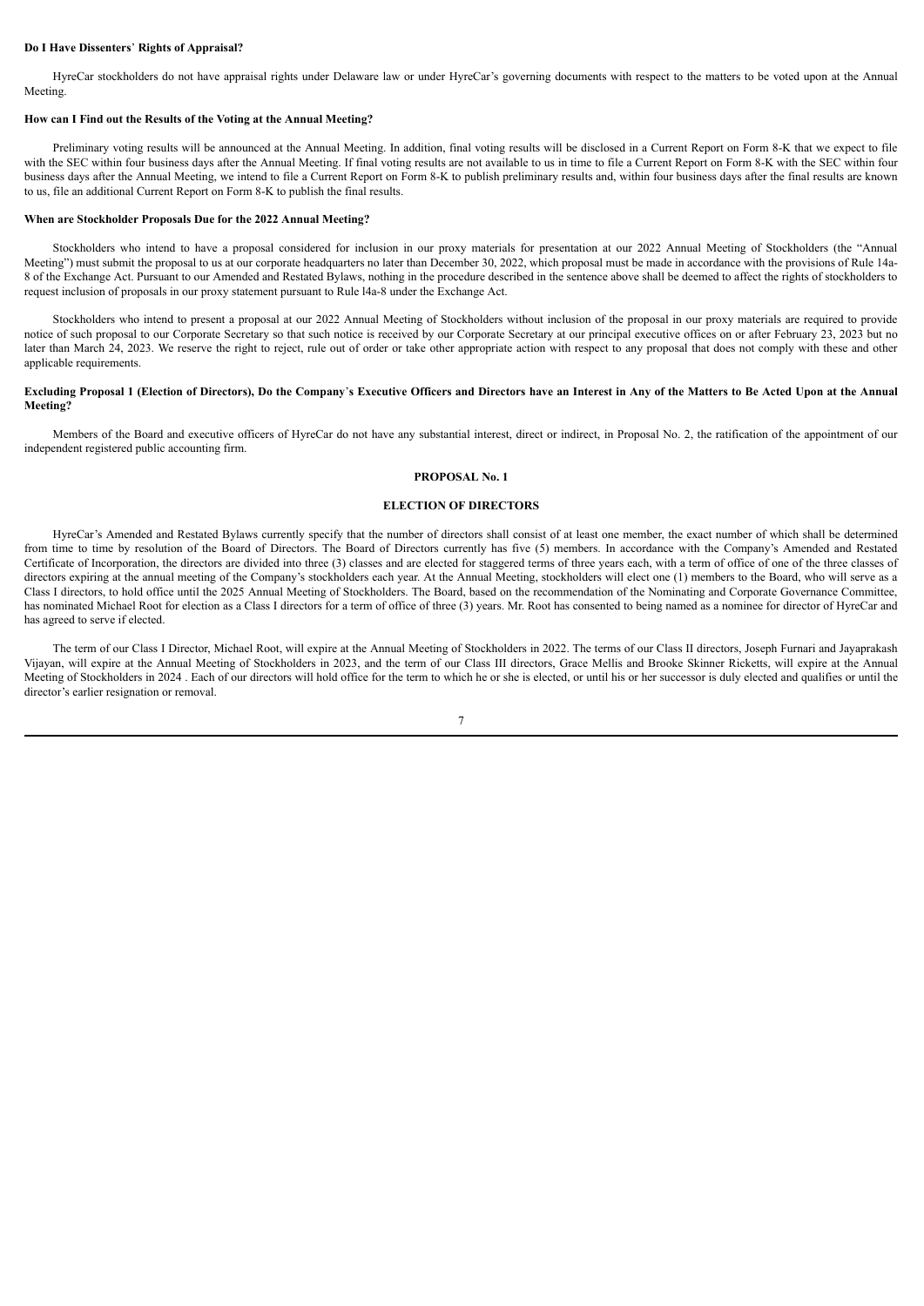# **Do I Have Dissenters**' **Rights of Appraisal?**

HyreCar stockholders do not have appraisal rights under Delaware law or under HyreCar's governing documents with respect to the matters to be voted upon at the Annual Meeting.

### **How can I Find out the Results of the Voting at the Annual Meeting?**

Preliminary voting results will be announced at the Annual Meeting. In addition, final voting results will be disclosed in a Current Report on Form 8-K that we expect to file with the SEC within four business days after the Annual Meeting. If final voting results are not available to us in time to file a Current Report on Form 8-K with the SEC within four business days after the Annual Meeting, we intend to file a Current Report on Form 8-K to publish preliminary results and, within four business days after the final results are known to us, file an additional Current Report on Form 8-K to publish the final results.

#### **When are Stockholder Proposals Due for the 2022 Annual Meeting?**

Stockholders who intend to have a proposal considered for inclusion in our proxy materials for presentation at our 2022 Annual Meeting of Stockholders (the "Annual Meeting") must submit the proposal to us at our corporate headquarters no later than December 30, 2022, which proposal must be made in accordance with the provisions of Rule 14a-8 of the Exchange Act. Pursuant to our Amended and Restated Bylaws, nothing in the procedure described in the sentence above shall be deemed to affect the rights of stockholders to request inclusion of proposals in our proxy statement pursuant to Rule l4a-8 under the Exchange Act.

Stockholders who intend to present a proposal at our 2022 Annual Meeting of Stockholders without inclusion of the proposal in our proxy materials are required to provide notice of such proposal to our Corporate Secretary so that such notice is received by our Corporate Secretary at our principal executive offices on or after February 23, 2023 but no later than March 24, 2023. We reserve the right to reject, rule out of order or take other appropriate action with respect to any proposal that does not comply with these and other applicable requirements.

# Excluding Proposal 1 (Election of Directors), Do the Company's Executive Officers and Directors have an Interest in Any of the Matters to Be Acted Upon at the Annual **Meeting?**

Members of the Board and executive officers of HyreCar do not have any substantial interest, direct or indirect, in Proposal No. 2, the ratification of the appointment of our independent registered public accounting firm.

#### **PROPOSAL No. 1**

# **ELECTION OF DIRECTORS**

HyreCar's Amended and Restated Bylaws currently specify that the number of directors shall consist of at least one member, the exact number of which shall be determined from time to time by resolution of the Board of Directors. The Board of Directors currently has five (5) members. In accordance with the Company's Amended and Restated Certificate of Incorporation, the directors are divided into three (3) classes and are elected for staggered terms of three years each, with a term of office of one of the three classes of directors expiring at the annual meeting of the Company's stockholders each year. At the Annual Meeting, stockholders will elect one (1) members to the Board, who will serve as a Class I directors, to hold office until the 2025 Annual Meeting of Stockholders. The Board, based on the recommendation of the Nominating and Corporate Governance Committee, has nominated Michael Root for election as a Class I directors for a term of office of three (3) years. Mr. Root has consented to being named as a nominee for director of HyreCar and has agreed to serve if elected.

The term of our Class I Director, Michael Root, will expire at the Annual Meeting of Stockholders in 2022. The terms of our Class II directors, Joseph Furnari and Jayaprakash Vijayan, will expire at the Annual Meeting of Stockholders in 2023, and the term of our Class III directors, Grace Mellis and Brooke Skinner Ricketts, will expire at the Annual Meeting of Stockholders in 2024. Each of our directors will hold office for the term to which he or she is elected, or until his or her successor is duly elected and qualifies or until the director's earlier resignation or removal.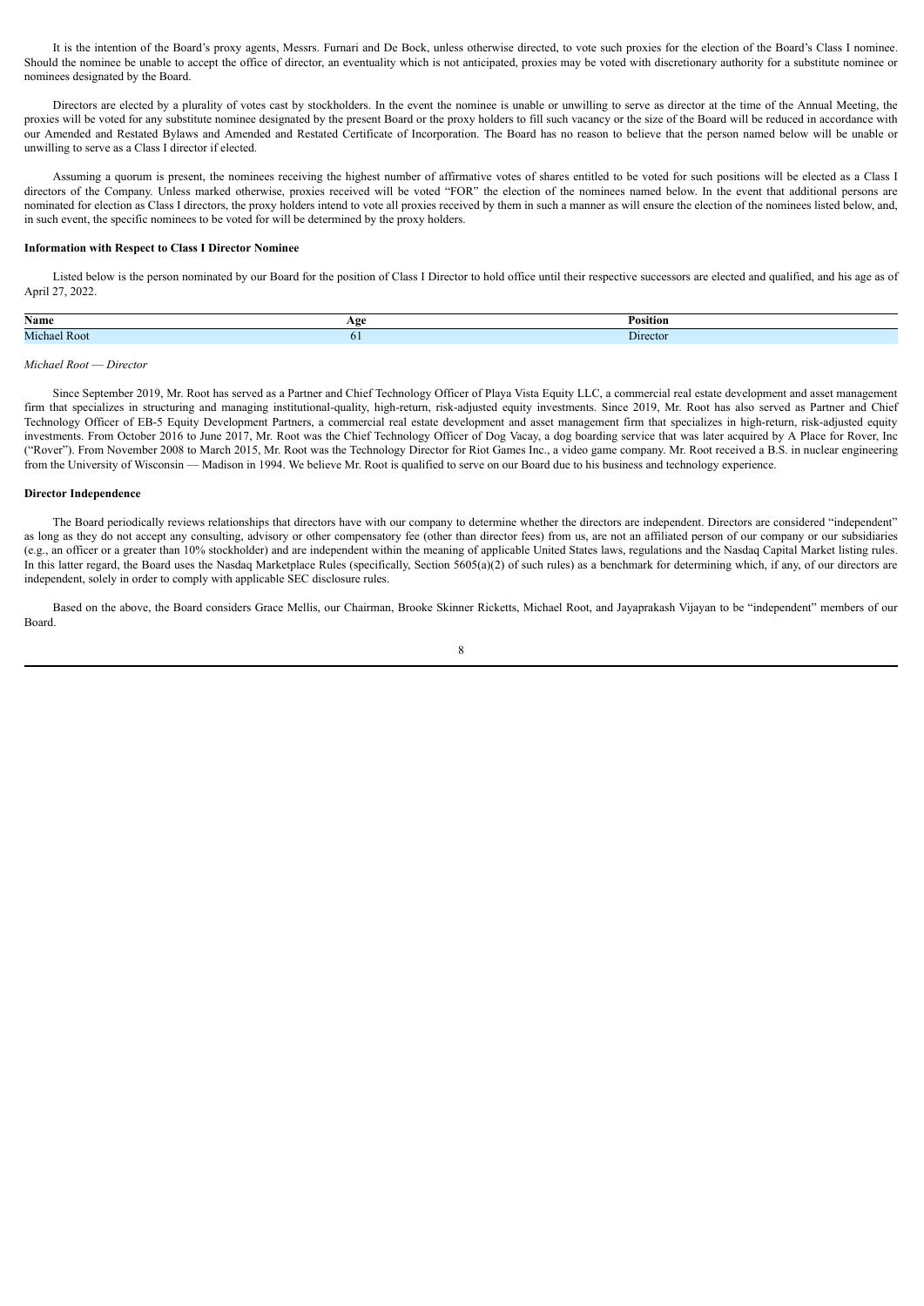It is the intention of the Board's proxy agents, Messrs. Furnari and De Bock, unless otherwise directed, to vote such proxies for the election of the Board's Class I nominee. Should the nominee be unable to accept the office of director, an eventuality which is not anticipated, proxies may be voted with discretionary authority for a substitute nominee or nominees designated by the Board.

Directors are elected by a plurality of votes cast by stockholders. In the event the nominee is unable or unwilling to serve as director at the time of the Annual Meeting, the proxies will be voted for any substitute nominee designated by the present Board or the proxy holders to fill such vacancy or the size of the Board will be reduced in accordance with our Amended and Restated Bylaws and Amended and Restated Certificate of Incorporation. The Board has no reason to believe that the person named below will be unable or unwilling to serve as a Class I director if elected.

Assuming a quorum is present, the nominees receiving the highest number of affirmative votes of shares entitled to be voted for such positions will be elected as a Class I directors of the Company. Unless marked otherwise, proxies received will be voted "FOR" the election of the nominees named below. In the event that additional persons are nominated for election as Class I directors, the proxy holders intend to vote all proxies received by them in such a manner as will ensure the election of the nominees listed below, and, in such event, the specific nominees to be voted for will be determined by the proxy holders.

# **Information with Respect to Class I Director Nominee**

Listed below is the person nominated by our Board for the position of Class I Director to hold office until their respective successors are elected and qualified, and his age as of April 27, 2022.

| Name                | AΩ | Position |
|---------------------|----|----------|
| <b>Michael Root</b> |    | Director |
|                     |    |          |

# *Michael Root* — *Director*

Since September 2019, Mr. Root has served as a Partner and Chief Technology Officer of Playa Vista Equity LLC, a commercial real estate development and asset management firm that specializes in structuring and managing institutional-quality, high-return, risk-adjusted equity investments. Since 2019, Mr. Root has also served as Partner and Chief Technology Officer of EB-5 Equity Development Partners, a commercial real estate development and asset management firm that specializes in high-return, risk-adjusted equity investments. From October 2016 to June 2017, Mr. Root was the Chief Technology Officer of Dog Vacay, a dog boarding service that was later acquired by A Place for Rover, Inc ("Rover"). From November 2008 to March 2015, Mr. Root was the Technology Director for Riot Games Inc., a video game company. Mr. Root received a B.S. in nuclear engineering from the University of Wisconsin — Madison in 1994. We believe Mr. Root is qualified to serve on our Board due to his business and technology experience.

### **Director Independence**

The Board periodically reviews relationships that directors have with our company to determine whether the directors are independent. Directors are considered "independent" as long as they do not accept any consulting, advisory or other compensatory fee (other than director fees) from us, are not an affiliated person of our company or our subsidiaries (e.g., an officer or a greater than 10% stockholder) and are independent within the meaning of applicable United States laws, regulations and the Nasdaq Capital Market listing rules. In this latter regard, the Board uses the Nasdaq Marketplace Rules (specifically, Section 5605(a)(2) of such rules) as a benchmark for determining which, if any, of our directors are independent, solely in order to comply with applicable SEC disclosure rules.

Based on the above, the Board considers Grace Mellis, our Chairman, Brooke Skinner Ricketts, Michael Root, and Jayaprakash Vijayan to be "independent" members of our Board.

|    | ٠ |         |    |  |
|----|---|---------|----|--|
|    |   |         | I  |  |
|    | I |         |    |  |
| M. |   | I<br>۰. | ۰, |  |
|    |   |         |    |  |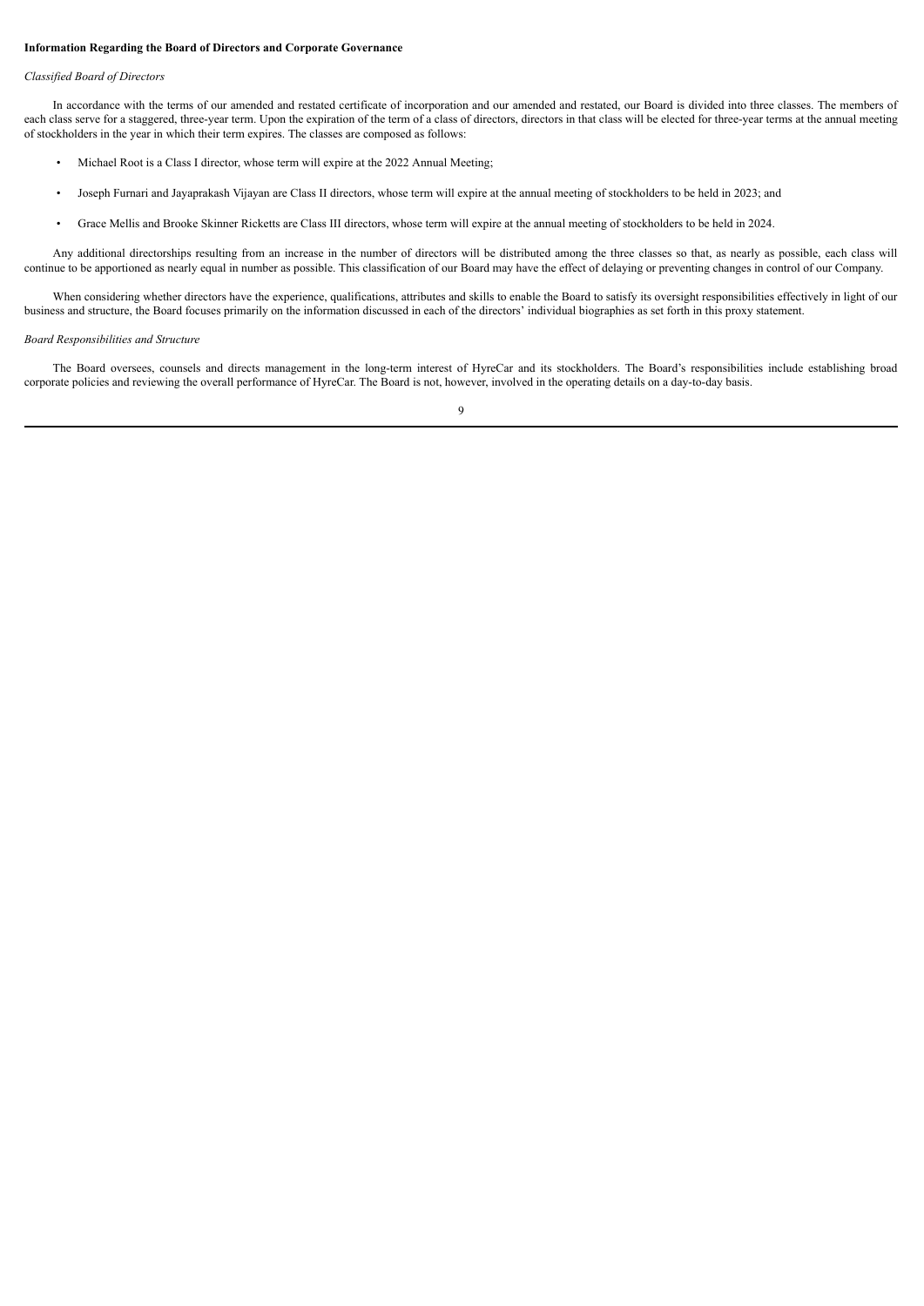# **Information Regarding the Board of Directors and Corporate Governance**

# *Classified Board of Directors*

In accordance with the terms of our amended and restated certificate of incorporation and our amended and restated, our Board is divided into three classes. The members of each class serve for a staggered, three-year term. Upon the expiration of the term of a class of directors, directors in that class will be elected for three-year terms at the annual meeting of stockholders in the year in which their term expires. The classes are composed as follows:

- Michael Root is a Class I director, whose term will expire at the 2022 Annual Meeting;
- Joseph Furnari and Jayaprakash Vijayan are Class II directors, whose term will expire at the annual meeting of stockholders to be held in 2023; and
- Grace Mellis and Brooke Skinner Ricketts are Class III directors, whose term will expire at the annual meeting of stockholders to be held in 2024.

Any additional directorships resulting from an increase in the number of directors will be distributed among the three classes so that, as nearly as possible, each class will continue to be apportioned as nearly equal in number as possible. This classification of our Board may have the effect of delaying or preventing changes in control of our Company.

When considering whether directors have the experience, qualifications, attributes and skills to enable the Board to satisfy its oversight responsibilities effectively in light of our business and structure, the Board focuses primarily on the information discussed in each of the directors' individual biographies as set forth in this proxy statement.

# *Board Responsibilities and Structure*

The Board oversees, counsels and directs management in the long-term interest of HyreCar and its stockholders. The Board's responsibilities include establishing broad corporate policies and reviewing the overall performance of HyreCar. The Board is not, however, involved in the operating details on a day-to-day basis.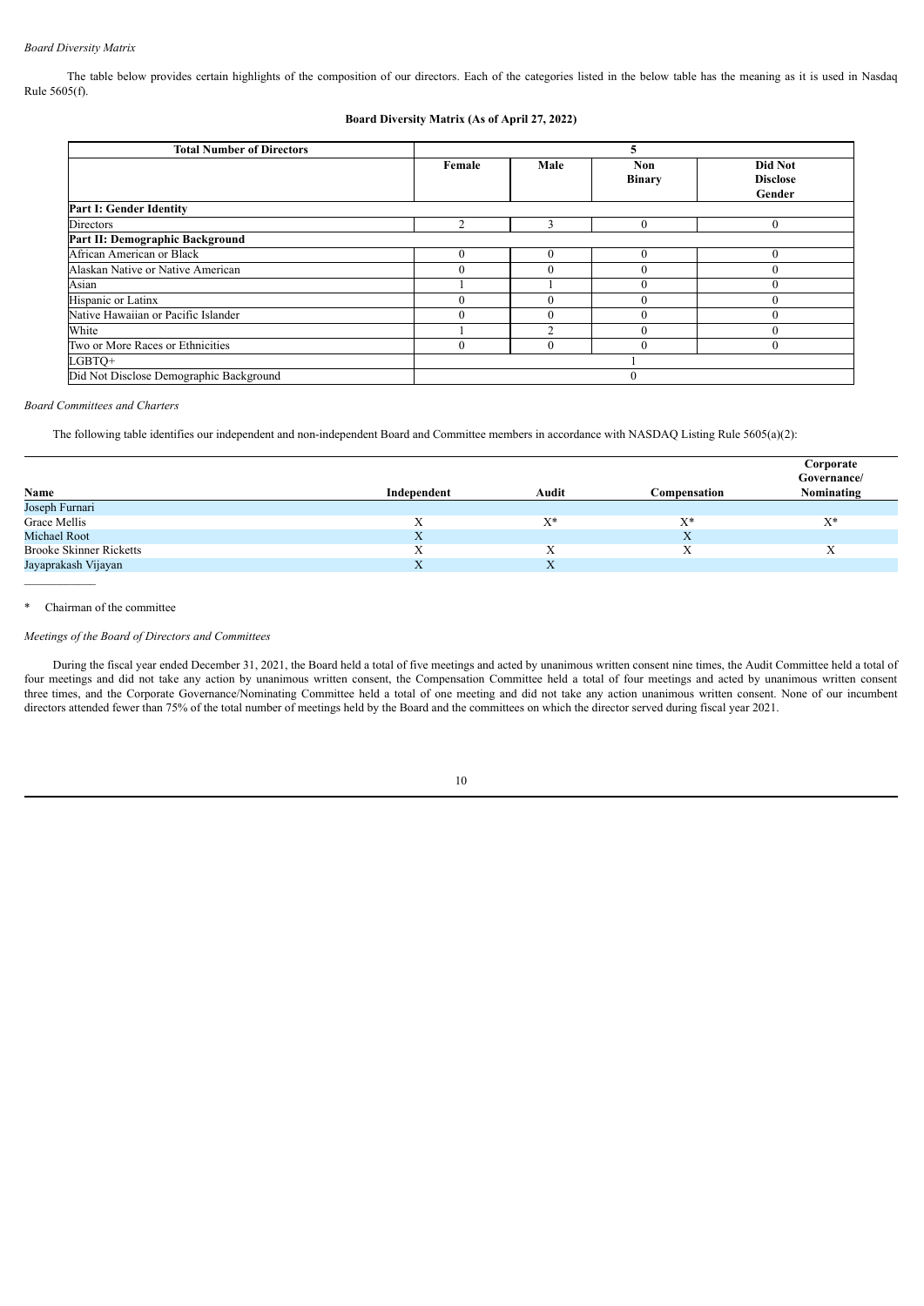# *Board Diversity Matrix*

The table below provides certain highlights of the composition of our directors. Each of the categories listed in the below table has the meaning as it is used in Nasdaq Rule 5605(f).

# **Board Diversity Matrix (As of April 27, 2022)**

| <b>Total Number of Directors</b>        |          |      | 5                    |                                      |  |  |  |
|-----------------------------------------|----------|------|----------------------|--------------------------------------|--|--|--|
|                                         | Female   | Male | Non<br><b>Binary</b> | Did Not<br><b>Disclose</b><br>Gender |  |  |  |
| Part I: Gender Identity                 |          |      |                      |                                      |  |  |  |
| Directors                               |          |      |                      | $\mathbf{0}$                         |  |  |  |
| Part II: Demographic Background         |          |      |                      |                                      |  |  |  |
| African American or Black               |          | 0    |                      | $\Omega$                             |  |  |  |
| Alaskan Native or Native American       |          |      |                      | $_{0}$                               |  |  |  |
| Asian                                   |          |      | $\theta$             | $\Omega$                             |  |  |  |
| Hispanic or Latinx                      |          | 0    |                      |                                      |  |  |  |
| Native Hawaiian or Pacific Islander     |          |      |                      |                                      |  |  |  |
| White                                   |          | 2    |                      | $\Omega$                             |  |  |  |
| Two or More Races or Ethnicities        | $\theta$ | 0    |                      | $\theta$                             |  |  |  |
| LGBTO+                                  |          |      |                      |                                      |  |  |  |
| Did Not Disclose Demographic Background |          |      | $\theta$             |                                      |  |  |  |

*Board Committees and Charters*

The following table identifies our independent and non-independent Board and Committee members in accordance with NASDAQ Listing Rule 5605(a)(2):

|                                |                   |       |              | Corporate   |
|--------------------------------|-------------------|-------|--------------|-------------|
|                                |                   |       |              | Governance/ |
| Name                           | Independent       | Audit | Compensation | Nominating  |
| Joseph Furnari                 |                   |       |              |             |
| Grace Mellis                   | Х                 | $X^*$ | $X^*$        | $X^*$       |
| Michael Root                   | X                 |       | $\Lambda$    |             |
| <b>Brooke Skinner Ricketts</b> | $\mathbf{v}$<br>л | л     | Λ            | л           |
| Jayaprakash Vijayan            | л                 | X     |              |             |
|                                |                   |       |              |             |

\* Chairman of the committee

# *Meetings of the Board of Directors and Committees*

During the fiscal year ended December 31, 2021, the Board held a total of five meetings and acted by unanimous written consent nine times, the Audit Committee held a total of four meetings and did not take any action by unanimous written consent, the Compensation Committee held a total of four meetings and acted by unanimous written consent three times, and the Corporate Governance/Nominating Committee held a total of one meeting and did not take any action unanimous written consent. None of our incumbent directors attended fewer than 75% of the total number of meetings held by the Board and the committees on which the director served during fiscal year 2021.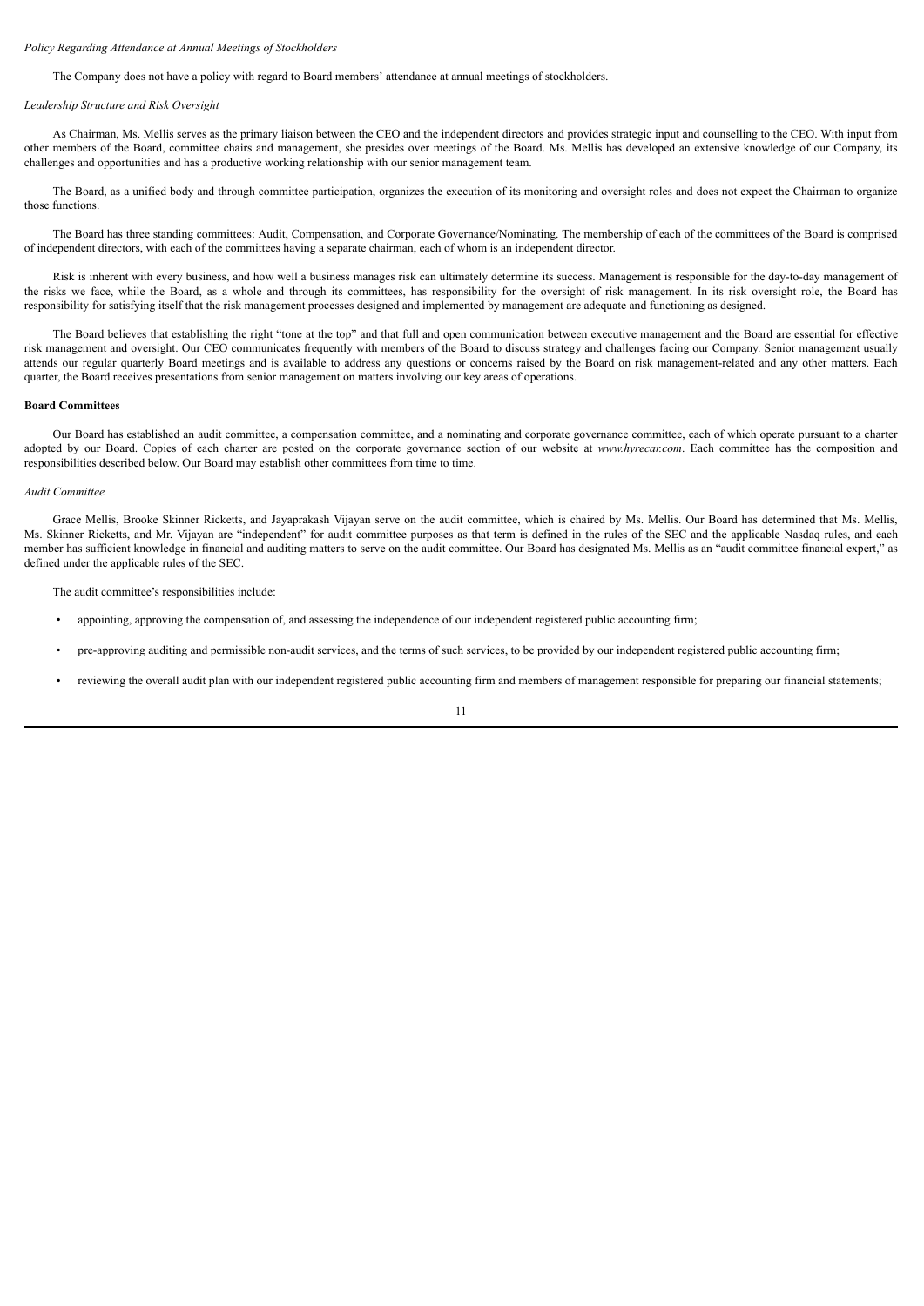# *Policy Regarding Attendance at Annual Meetings of Stockholders*

The Company does not have a policy with regard to Board members' attendance at annual meetings of stockholders.

#### *Leadership Structure and Risk Oversight*

As Chairman, Ms. Mellis serves as the primary liaison between the CEO and the independent directors and provides strategic input and counselling to the CEO. With input from other members of the Board, committee chairs and management, she presides over meetings of the Board. Ms. Mellis has developed an extensive knowledge of our Company, its challenges and opportunities and has a productive working relationship with our senior management team.

The Board, as a unified body and through committee participation, organizes the execution of its monitoring and oversight roles and does not expect the Chairman to organize those functions.

The Board has three standing committees: Audit, Compensation, and Corporate Governance/Nominating. The membership of each of the committees of the Board is comprised of independent directors, with each of the committees having a separate chairman, each of whom is an independent director.

Risk is inherent with every business, and how well a business manages risk can ultimately determine its success. Management is responsible for the day-to-day management of the risks we face, while the Board, as a whole and through its committees, has responsibility for the oversight of risk management. In its risk oversight role, the Board has responsibility for satisfying itself that the risk management processes designed and implemented by management are adequate and functioning as designed.

The Board believes that establishing the right "tone at the top" and that full and open communication between executive management and the Board are essential for effective risk management and oversight. Our CEO communicates frequently with members of the Board to discuss strategy and challenges facing our Company. Senior management usually attends our regular quarterly Board meetings and is available to address any questions or concerns raised by the Board on risk management-related and any other matters. Each quarter, the Board receives presentations from senior management on matters involving our key areas of operations.

### **Board Committees**

Our Board has established an audit committee, a compensation committee, and a nominating and corporate governance committee, each of which operate pursuant to a charter adopted by our Board. Copies of each charter are posted on the corporate governance section of our website at *www.hyrecar.com*. Each committee has the composition and responsibilities described below. Our Board may establish other committees from time to time.

# *Audit Committee*

Grace Mellis, Brooke Skinner Ricketts, and Jayaprakash Vijayan serve on the audit committee, which is chaired by Ms. Mellis. Our Board has determined that Ms. Mellis, Ms. Skinner Ricketts, and Mr. Vijayan are "independent" for audit committee purposes as that term is defined in the rules of the SEC and the applicable Nasdaq rules, and each member has sufficient knowledge in financial and auditing matters to serve on the audit committee. Our Board has designated Ms. Mellis as an "audit committee financial expert," as defined under the applicable rules of the SEC.

The audit committee's responsibilities include:

- appointing, approving the compensation of, and assessing the independence of our independent registered public accounting firm;
- pre-approving auditing and permissible non-audit services, and the terms of such services, to be provided by our independent registered public accounting firm;
- reviewing the overall audit plan with our independent registered public accounting firm and members of management responsible for preparing our financial statements;

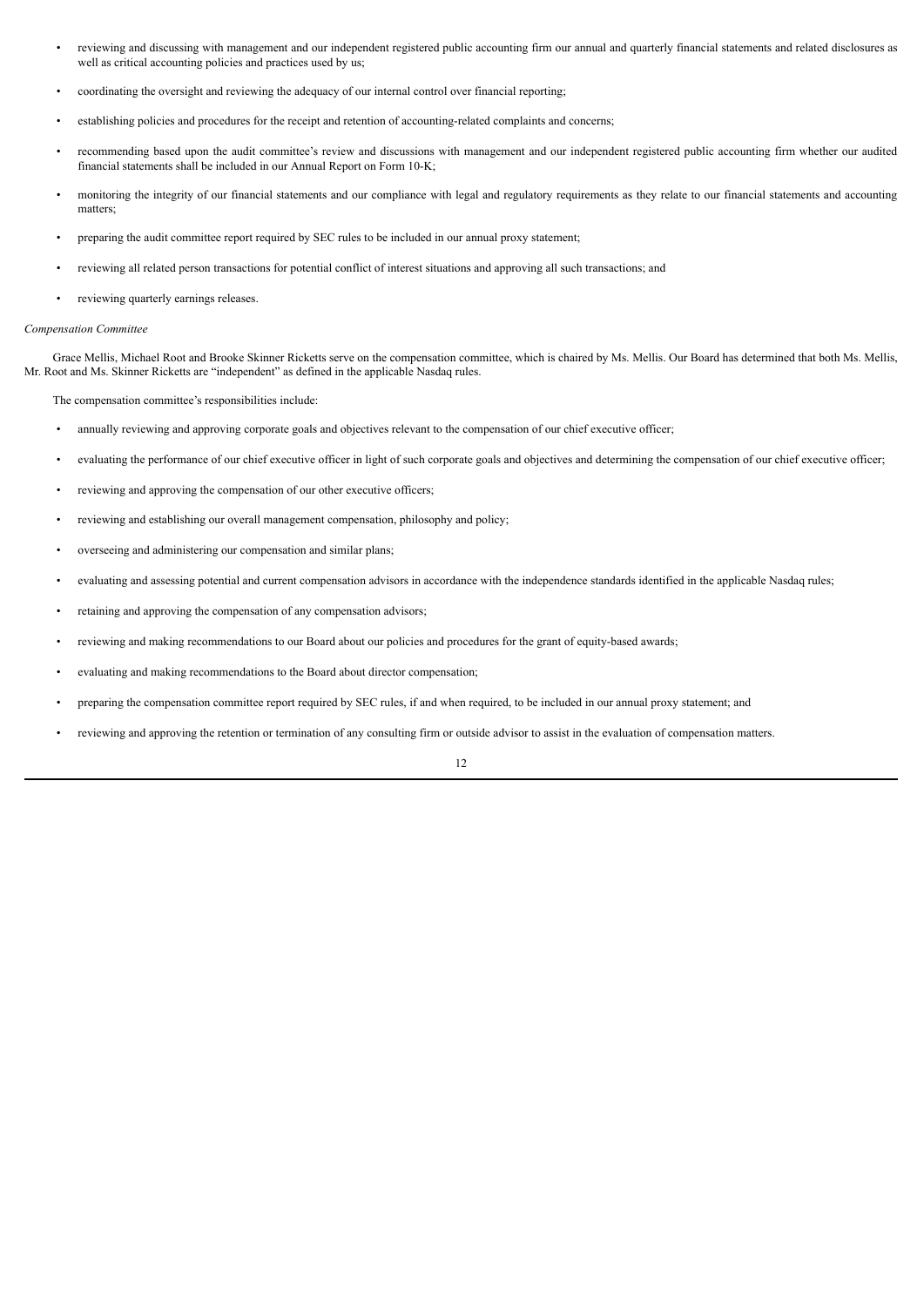- reviewing and discussing with management and our independent registered public accounting firm our annual and quarterly financial statements and related disclosures as well as critical accounting policies and practices used by us;
- coordinating the oversight and reviewing the adequacy of our internal control over financial reporting;
- establishing policies and procedures for the receipt and retention of accounting-related complaints and concerns;
- recommending based upon the audit committee's review and discussions with management and our independent registered public accounting firm whether our audited financial statements shall be included in our Annual Report on Form 10-K;
- monitoring the integrity of our financial statements and our compliance with legal and regulatory requirements as they relate to our financial statements and accounting matters;
- preparing the audit committee report required by SEC rules to be included in our annual proxy statement;
- reviewing all related person transactions for potential conflict of interest situations and approving all such transactions; and
- reviewing quarterly earnings releases.

### *Compensation Committee*

Grace Mellis, Michael Root and Brooke Skinner Ricketts serve on the compensation committee, which is chaired by Ms. Mellis. Our Board has determined that both Ms. Mellis, Mr. Root and Ms. Skinner Ricketts are "independent" as defined in the applicable Nasdaq rules.

The compensation committee's responsibilities include:

- annually reviewing and approving corporate goals and objectives relevant to the compensation of our chief executive officer;
- evaluating the performance of our chief executive officer in light of such corporate goals and objectives and determining the compensation of our chief executive officer;
- reviewing and approving the compensation of our other executive officers;
- reviewing and establishing our overall management compensation, philosophy and policy;
- overseeing and administering our compensation and similar plans;
- evaluating and assessing potential and current compensation advisors in accordance with the independence standards identified in the applicable Nasdaq rules;
- retaining and approving the compensation of any compensation advisors;
- reviewing and making recommendations to our Board about our policies and procedures for the grant of equity-based awards;
- evaluating and making recommendations to the Board about director compensation;
- preparing the compensation committee report required by SEC rules, if and when required, to be included in our annual proxy statement; and
- reviewing and approving the retention or termination of any consulting firm or outside advisor to assist in the evaluation of compensation matters.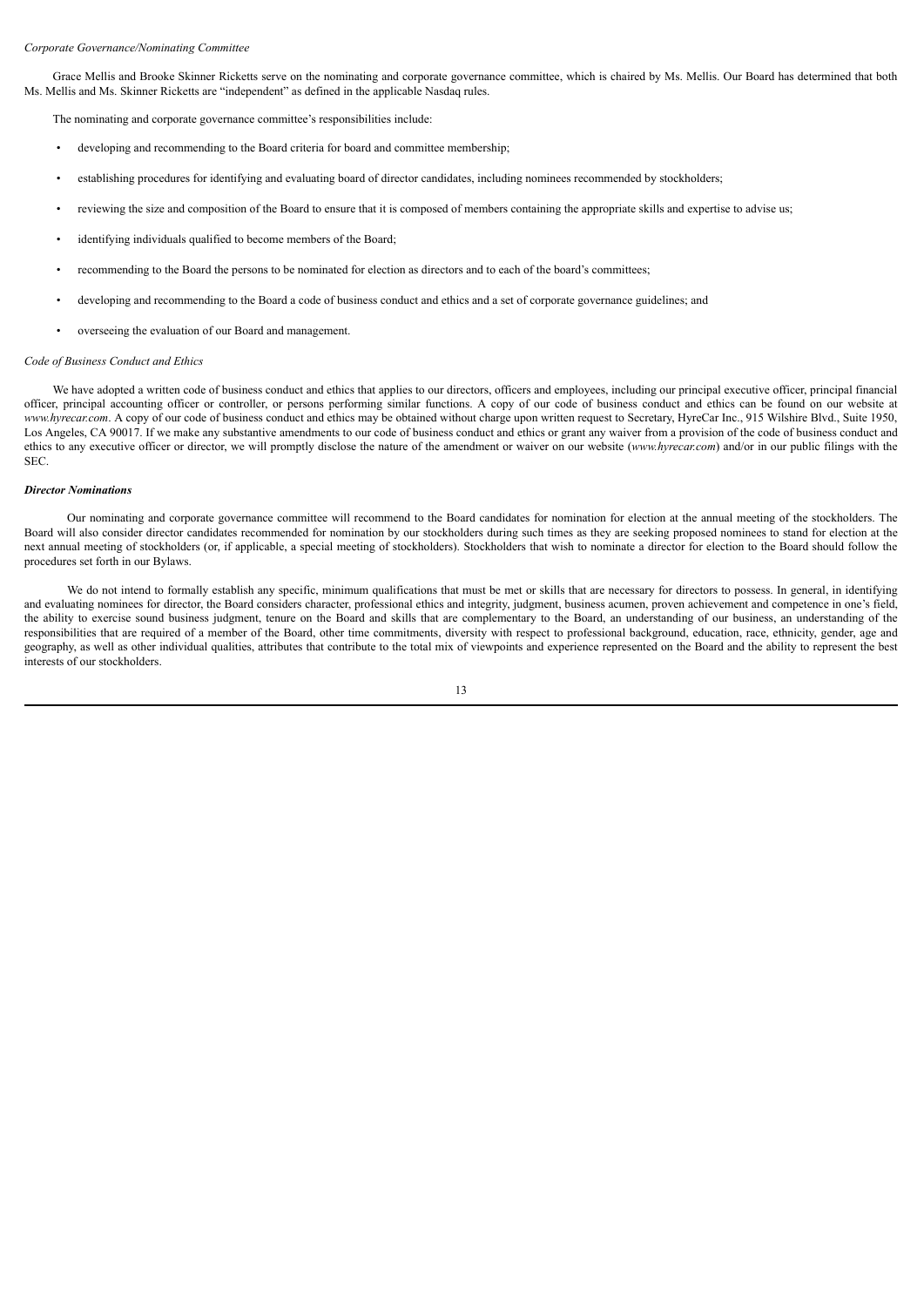#### *Corporate Governance/Nominating Committee*

Grace Mellis and Brooke Skinner Ricketts serve on the nominating and corporate governance committee, which is chaired by Ms. Mellis. Our Board has determined that both Ms. Mellis and Ms. Skinner Ricketts are "independent" as defined in the applicable Nasdaq rules.

The nominating and corporate governance committee's responsibilities include:

- developing and recommending to the Board criteria for board and committee membership;
- establishing procedures for identifying and evaluating board of director candidates, including nominees recommended by stockholders;
- reviewing the size and composition of the Board to ensure that it is composed of members containing the appropriate skills and expertise to advise us;
- identifying individuals qualified to become members of the Board;
- recommending to the Board the persons to be nominated for election as directors and to each of the board's committees;
- developing and recommending to the Board a code of business conduct and ethics and a set of corporate governance guidelines; and
- overseeing the evaluation of our Board and management.

#### *Code of Business Conduct and Ethics*

We have adopted a written code of business conduct and ethics that applies to our directors, officers and employees, including our principal executive officer, principal financial officer, principal accounting officer or controller, or persons performing similar functions. A copy of our code of business conduct and ethics can be found on our website at *www.hyrecar.com*. A copy of our code of business conduct and ethics may be obtained without charge upon written request to Secretary, HyreCar Inc., 915 Wilshire Blvd., Suite 1950, Los Angeles, CA 90017. If we make any substantive amendments to our code of business conduct and ethics or grant any waiver from a provision of the code of business conduct and ethics to any executive officer or director, we will promptly disclose the nature of the amendment or waiver on our website (*www.hyrecar.com*) and/or in our public filings with the SEC.

#### *Director Nominations*

Our nominating and corporate governance committee will recommend to the Board candidates for nomination for election at the annual meeting of the stockholders. The Board will also consider director candidates recommended for nomination by our stockholders during such times as they are seeking proposed nominees to stand for election at the next annual meeting of stockholders (or, if applicable, a special meeting of stockholders). Stockholders that wish to nominate a director for election to the Board should follow the procedures set forth in our Bylaws.

We do not intend to formally establish any specific, minimum qualifications that must be met or skills that are necessary for directors to possess. In general, in identifying and evaluating nominees for director, the Board considers character, professional ethics and integrity, judgment, business acumen, proven achievement and competence in one's field, the ability to exercise sound business judgment, tenure on the Board and skills that are complementary to the Board, an understanding of our business, an understanding of the responsibilities that are required of a member of the Board, other time commitments, diversity with respect to professional background, education, race, ethnicity, gender, age and geography, as well as other individual qualities, attributes that contribute to the total mix of viewpoints and experience represented on the Board and the ability to represent the best interests of our stockholders.

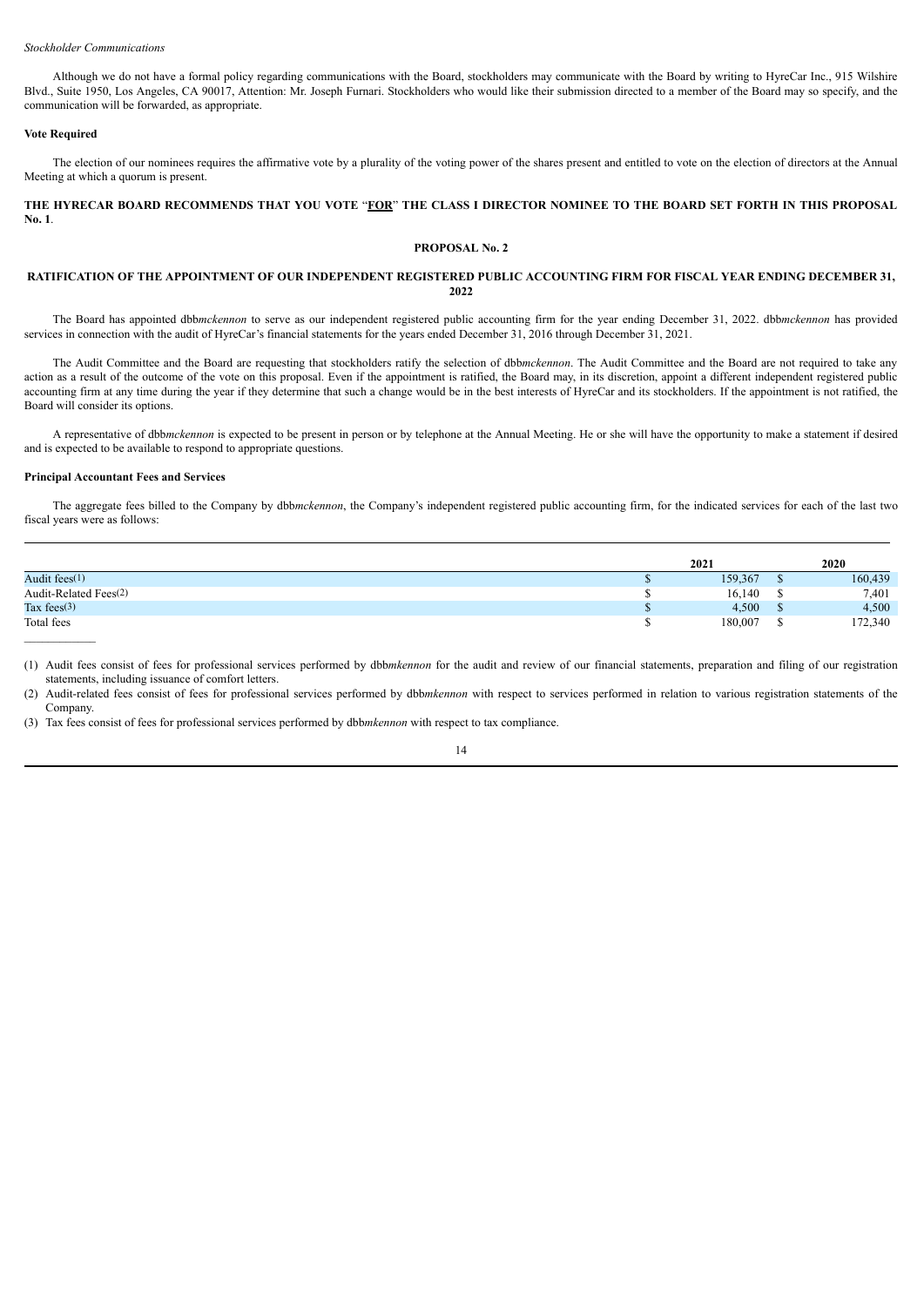### *Stockholder Communications*

Although we do not have a formal policy regarding communications with the Board, stockholders may communicate with the Board by writing to HyreCar Inc., 915 Wilshire Blvd., Suite 1950, Los Angeles, CA 90017, Attention: Mr. Joseph Furnari. Stockholders who would like their submission directed to a member of the Board may so specify, and the communication will be forwarded, as appropriate.

### **Vote Required**

The election of our nominees requires the affirmative vote by a plurality of the voting power of the shares present and entitled to vote on the election of directors at the Annual Meeting at which a quorum is present.

# THE HYRECAR BOARD RECOMMENDS THAT YOU VOTE "FOR" THE CLASS I DIRECTOR NOMINEE TO THE BOARD SET FORTH IN THIS PROPOSAL **No. 1**.

# **PROPOSAL No. 2**

# RATIFICATION OF THE APPOINTMENT OF OUR INDEPENDENT REGISTERED PUBLIC ACCOUNTING FIRM FOR FISCAL YEAR ENDING DECEMBER 31, **2022**

The Board has appointed dbb*mckennon* to serve as our independent registered public accounting firm for the year ending December 31, 2022. dbb*mckennon* has provided services in connection with the audit of HyreCar's financial statements for the years ended December 31, 2016 through December 31, 2021.

The Audit Committee and the Board are requesting that stockholders ratify the selection of dbb*mckennon*. The Audit Committee and the Board are not required to take any action as a result of the outcome of the vote on this proposal. Even if the appointment is ratified, the Board may, in its discretion, appoint a different independent registered public accounting firm at any time during the year if they determine that such a change would be in the best interests of HyreCar and its stockholders. If the appointment is not ratified, the Board will consider its options.

A representative of dbb*mckennon* is expected to be present in person or by telephone at the Annual Meeting. He or she will have the opportunity to make a statement if desired and is expected to be available to respond to appropriate questions.

#### **Principal Accountant Fees and Services**

The aggregate fees billed to the Company by dbb*mckennon*, the Company's independent registered public accounting firm, for the indicated services for each of the last two fiscal years were as follows:

|                       | 2021    | 2020    |
|-----------------------|---------|---------|
| Audit fees $(1)$      | 159,367 | 160,439 |
| Audit-Related Fees(2) | 16,140  | 7,401   |
| Tax fees $(3)$        | 4,500   | 4,500   |
| Total fees            | 180,007 | 172,340 |
|                       |         |         |

(1) Audit fees consist of fees for professional services performed by dbb*mkennon* for the audit and review of our financial statements, preparation and filing of our registration statements, including issuance of comfort letters.

(2) Audit-related fees consist of fees for professional services performed by dbb*mkennon* with respect to services performed in relation to various registration statements of the Company.

(3) Tax fees consist of fees for professional services performed by dbb*mkennon* with respect to tax compliance.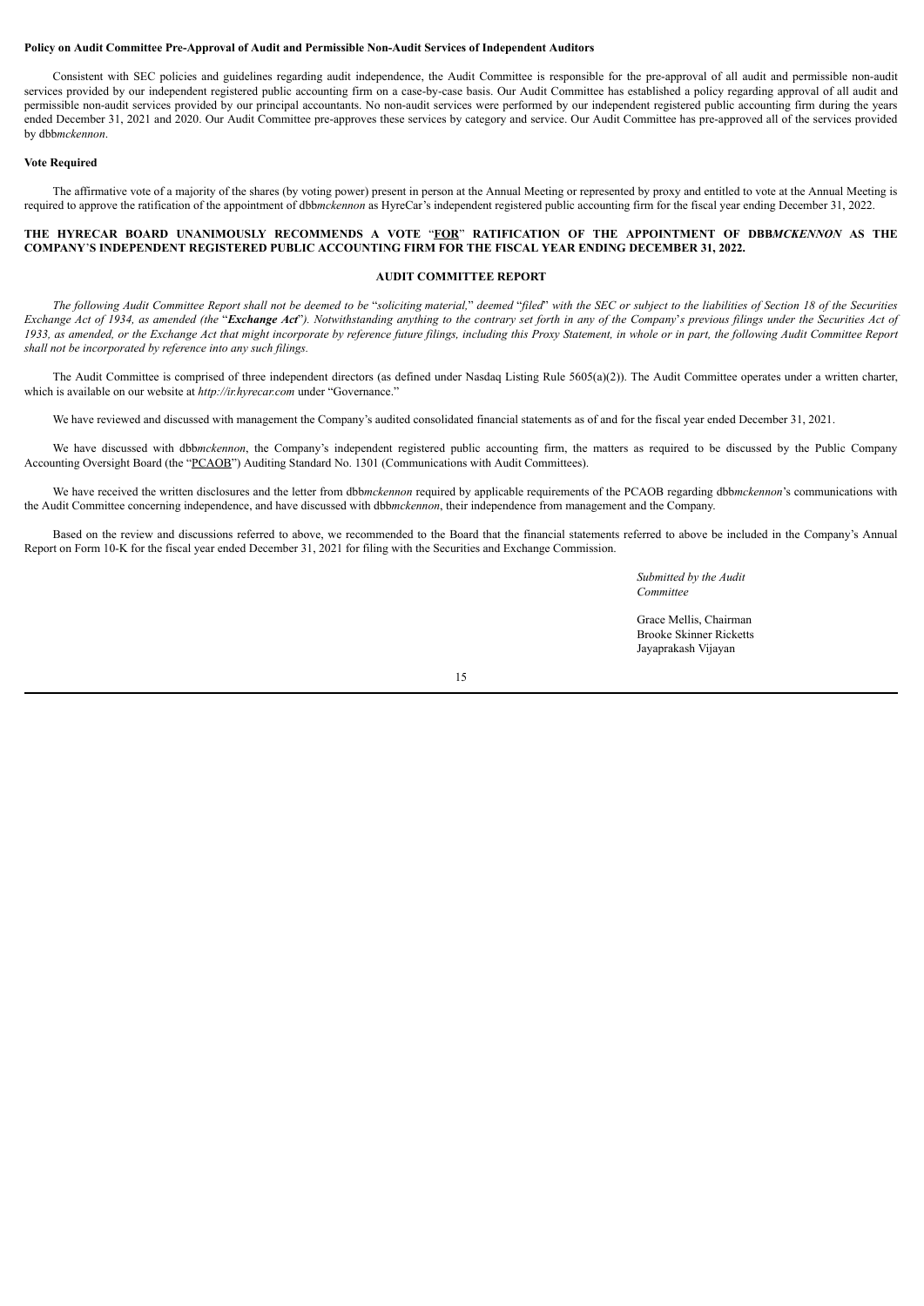# **Policy on Audit Committee Pre-Approval of Audit and Permissible Non-Audit Services of Independent Auditors**

Consistent with SEC policies and guidelines regarding audit independence, the Audit Committee is responsible for the pre-approval of all audit and permissible non-audit services provided by our independent registered public accounting firm on a case-by-case basis. Our Audit Committee has established a policy regarding approval of all audit and permissible non-audit services provided by our principal accountants. No non-audit services were performed by our independent registered public accounting firm during the years ended December 31, 2021 and 2020. Our Audit Committee pre-approves these services by category and service. Our Audit Committee has pre-approved all of the services provided by dbb*mckennon*.

# **Vote Required**

The affirmative vote of a majority of the shares (by voting power) present in person at the Annual Meeting or represented by proxy and entitled to vote at the Annual Meeting is required to approve the ratification of the appointment of dbb*mckennon* as HyreCar's independent registered public accounting firm for the fiscal year ending December 31, 2022.

# THE HYRECAR BOARD UNANIMOUSLY RECOMMENDS A VOTE "FOR" RATIFICATION OF THE APPOINTMENT OF DBBMCKENNON AS THE **COMPANY**'**S INDEPENDENT REGISTERED PUBLIC ACCOUNTING FIRM FOR THE FISCAL YEAR ENDING DECEMBER 31, 2022.**

# **AUDIT COMMITTEE REPORT**

The following Audit Committee Report shall not be deemed to be "soliciting material," deemed "filed" with the SEC or subject to the liabilities of Section 18 of the Securities Exchange Act of 1934, as amended (the "Exchange Act"). Notwithstanding anything to the contrary set forth in any of the Company's previous filings under the Securities Act of 1933, as amended, or the Exchange Act that might incorporate by reference future filings, including this Proxy Statement, in whole or in part, the following Audit Committee Report *shall not be incorporated by reference into any such filings.*

The Audit Committee is comprised of three independent directors (as defined under Nasdaq Listing Rule 5605(a)(2)). The Audit Committee operates under a written charter, which is available on our website at *http://ir.hyrecar.com* under "Governance."

We have reviewed and discussed with management the Company's audited consolidated financial statements as of and for the fiscal year ended December 31, 2021.

We have discussed with dbb*mckennon*, the Company's independent registered public accounting firm, the matters as required to be discussed by the Public Company Accounting Oversight Board (the "PCAOB") Auditing Standard No. 1301 (Communications with Audit Committees).

We have received the written disclosures and the letter from dbb*mckennon* required by applicable requirements of the PCAOB regarding dbb*mckennon*'s communications with the Audit Committee concerning independence, and have discussed with dbb*mckennon*, their independence from management and the Company.

Based on the review and discussions referred to above, we recommended to the Board that the financial statements referred to above be included in the Company's Annual Report on Form 10-K for the fiscal year ended December 31, 2021 for filing with the Securities and Exchange Commission.

> *Submitted by the Audit Committee*

Grace Mellis, Chairman Brooke Skinner Ricketts Jayaprakash Vijayan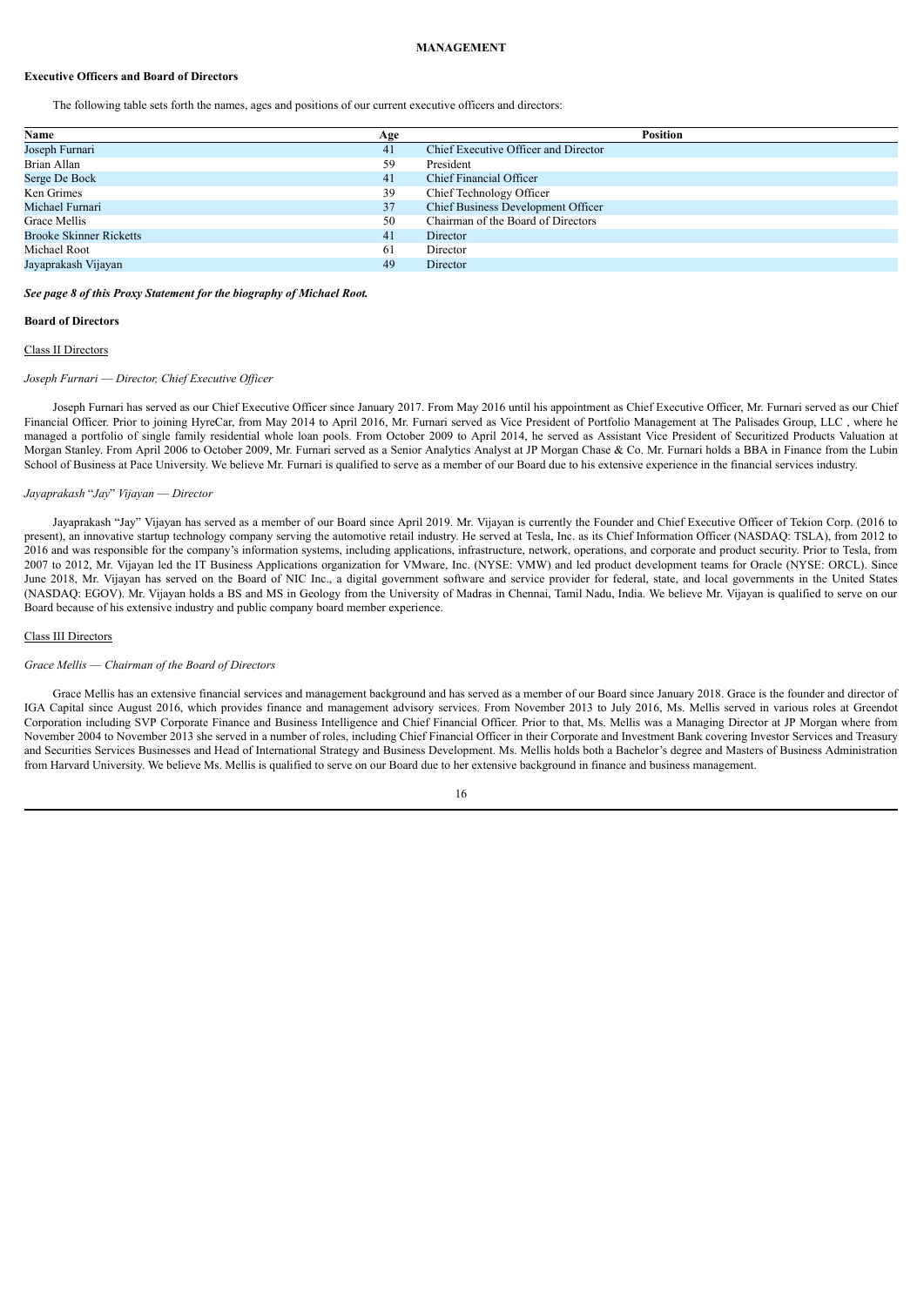#### **MANAGEMENT**

# **Executive Officers and Board of Directors**

The following table sets forth the names, ages and positions of our current executive officers and directors:

| Name                           | Age | <b>Position</b>                           |
|--------------------------------|-----|-------------------------------------------|
| Joseph Furnari                 | 41  | Chief Executive Officer and Director      |
| Brian Allan                    | 59  | President                                 |
| Serge De Bock                  | 41  | Chief Financial Officer                   |
| Ken Grimes                     | 39  | Chief Technology Officer                  |
| Michael Furnari                | 37  | <b>Chief Business Development Officer</b> |
| Grace Mellis                   | 50  | Chairman of the Board of Directors        |
| <b>Brooke Skinner Ricketts</b> | 41  | Director                                  |
| Michael Root                   | 61  | Director                                  |
| Jayaprakash Vijayan            | 49  | Director                                  |

*See page 8 of this Proxy Statement for the biography of Michael Root.*

#### **Board of Directors**

# Class II Directors

# *Joseph Furnari* — *Director, Chief Executive Of icer*

Joseph Furnari has served as our Chief Executive Officer since January 2017. From May 2016 until his appointment as Chief Executive Officer, Mr. Furnari served as our Chief Financial Officer. Prior to joining HyreCar, from May 2014 to April 2016, Mr. Furnari served as Vice President of Portfolio Management at The Palisades Group, LLC , where he managed a portfolio of single family residential whole loan pools. From October 2009 to April 2014, he served as Assistant Vice President of Securitized Products Valuation at Morgan Stanley. From April 2006 to October 2009, Mr. Furnari served as a Senior Analytics Analyst at JP Morgan Chase & Co. Mr. Furnari holds a BBA in Finance from the Lubin School of Business at Pace University. We believe Mr. Furnari is qualified to serve as a member of our Board due to his extensive experience in the financial services industry.

#### *Jayaprakash* "*Jay*" *Vijayan* — *Director*

Jayaprakash "Jay" Vijayan has served as a member of our Board since April 2019. Mr. Vijayan is currently the Founder and Chief Executive Officer of Tekion Corp. (2016 to present), an innovative startup technology company serving the automotive retail industry. He served at Tesla, Inc. as its Chief Information Officer (NASDAQ: TSLA), from 2012 to 2016 and was responsible for the company's information systems, including applications, infrastructure, network, operations, and corporate and product security. Prior to Tesla, from 2007 to 2012, Mr. Vijayan led the IT Business Applications organization for VMware, Inc. (NYSE: VMW) and led product development teams for Oracle (NYSE: ORCL). Since June 2018, Mr. Vijayan has served on the Board of NIC Inc., a digital government software and service provider for federal, state, and local governments in the United States (NASDAQ: EGOV). Mr. Vijayan holds a BS and MS in Geology from the University of Madras in Chennai, Tamil Nadu, India. We believe Mr. Vijayan is qualified to serve on our Board because of his extensive industry and public company board member experience.

# Class III Directors

#### *Grace Mellis* — *Chairman of the Board of Directors*

Grace Mellis has an extensive financial services and management background and has served as a member of our Board since January 2018. Grace is the founder and director of IGA Capital since August 2016, which provides finance and management advisory services. From November 2013 to July 2016, Ms. Mellis served in various roles at Greendot Corporation including SVP Corporate Finance and Business Intelligence and Chief Financial Officer. Prior to that, Ms. Mellis was a Managing Director at JP Morgan where from November 2004 to November 2013 she served in a number of roles, including Chief Financial Officer in their Corporate and Investment Bank covering Investor Services and Treasury and Securities Services Businesses and Head of International Strategy and Business Development. Ms. Mellis holds both a Bachelor's degree and Masters of Business Administration from Harvard University. We believe Ms. Mellis is qualified to serve on our Board due to her extensive background in finance and business management.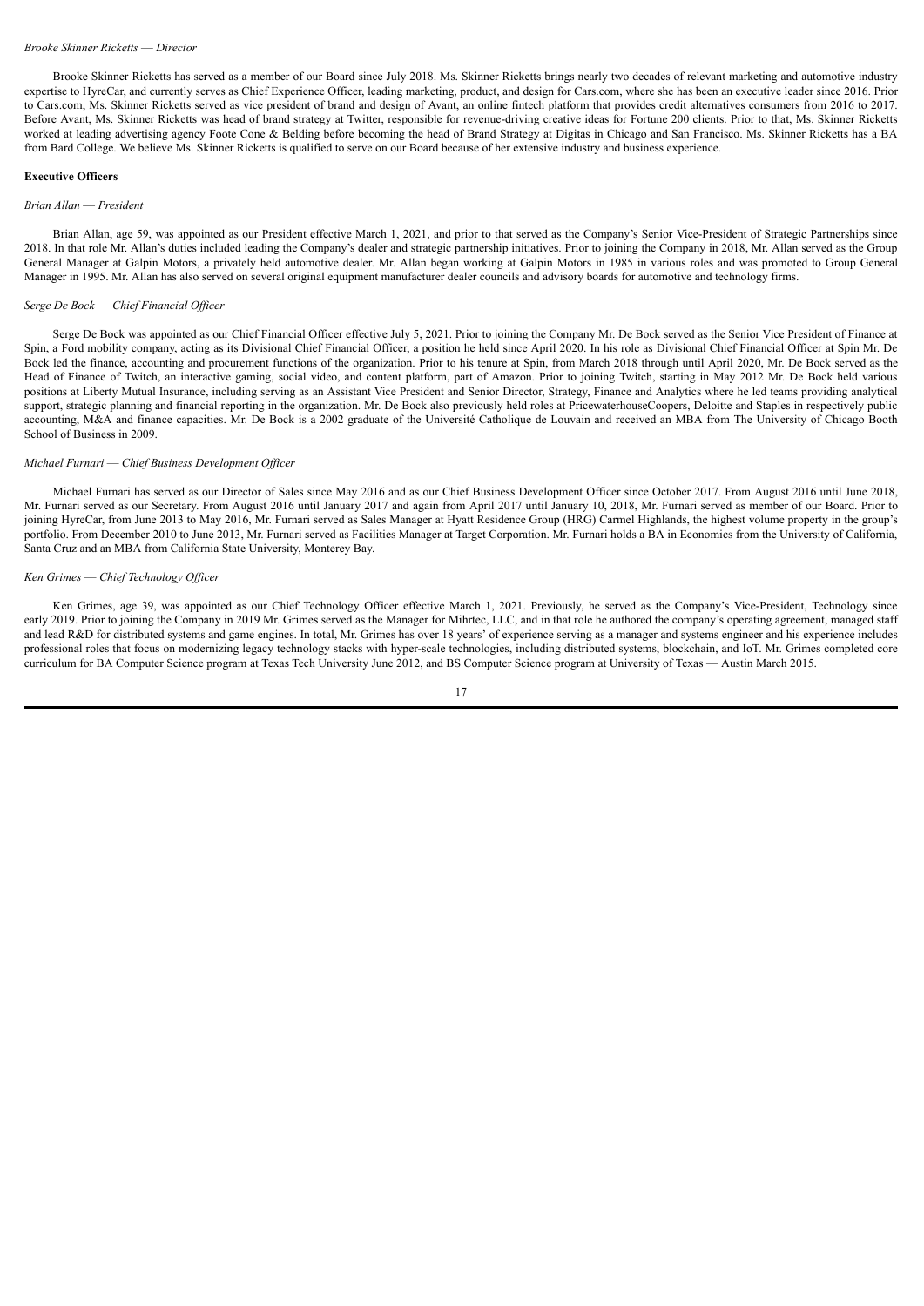# *Brooke Skinner Ricketts* — *Director*

Brooke Skinner Ricketts has served as a member of our Board since July 2018. Ms. Skinner Ricketts brings nearly two decades of relevant marketing and automotive industry expertise to HyreCar, and currently serves as Chief Experience Officer, leading marketing, product, and design for Cars.com, where she has been an executive leader since 2016. Prior to Cars.com, Ms. Skinner Ricketts served as vice president of brand and design of Avant, an online fintech platform that provides credit alternatives consumers from 2016 to 2017. Before Avant, Ms. Skinner Ricketts was head of brand strategy at Twitter, responsible for revenue-driving creative ideas for Fortune 200 clients. Prior to that, Ms. Skinner Ricketts worked at leading advertising agency Foote Cone & Belding before becoming the head of Brand Strategy at Digitas in Chicago and San Francisco. Ms. Skinner Ricketts has a BA from Bard College. We believe Ms. Skinner Ricketts is qualified to serve on our Board because of her extensive industry and business experience.

## **Executive Officers**

#### *Brian Allan* — *President*

Brian Allan, age 59, was appointed as our President effective March 1, 2021, and prior to that served as the Company's Senior Vice-President of Strategic Partnerships since 2018. In that role Mr. Allan's duties included leading the Company's dealer and strategic partnership initiatives. Prior to joining the Company in 2018, Mr. Allan served as the Group General Manager at Galpin Motors, a privately held automotive dealer. Mr. Allan began working at Galpin Motors in 1985 in various roles and was promoted to Group General Manager in 1995. Mr. Allan has also served on several original equipment manufacturer dealer councils and advisory boards for automotive and technology firms.

# *Serge De Bock* — *Chief Financial Of icer*

Serge De Bock was appointed as our Chief Financial Officer effective July 5, 2021. Prior to joining the Company Mr. De Bock served as the Senior Vice President of Finance at Spin, a Ford mobility company, acting as its Divisional Chief Financial Officer, a position he held since April 2020. In his role as Divisional Chief Financial Officer at Spin Mr. De Bock led the finance, accounting and procurement functions of the organization. Prior to his tenure at Spin, from March 2018 through until April 2020, Mr. De Bock served as the Head of Finance of Twitch, an interactive gaming, social video, and content platform, part of Amazon. Prior to joining Twitch, starting in May 2012 Mr. De Bock held various positions at Liberty Mutual Insurance, including serving as an Assistant Vice President and Senior Director, Strategy, Finance and Analytics where he led teams providing analytical support, strategic planning and financial reporting in the organization. Mr. De Bock also previously held roles at PricewaterhouseCoopers. Deloitte and Staples in respectively public accounting, M&A and finance capacities. Mr. De Bock is a 2002 graduate of the Université Catholique de Louvain and received an MBA from The University of Chicago Booth School of Business in 2009.

## *Michael Furnari* — *Chief Business Development Of icer*

Michael Furnari has served as our Director of Sales since May 2016 and as our Chief Business Development Officer since October 2017. From August 2016 until June 2018, Mr. Furnari served as our Secretary. From August 2016 until January 2017 and again from April 2017 until January 10, 2018, Mr. Furnari served as member of our Board. Prior to joining HyreCar, from June 2013 to May 2016, Mr. Furnari served as Sales Manager at Hyatt Residence Group (HRG) Carmel Highlands, the highest volume property in the group's portfolio. From December 2010 to June 2013, Mr. Furnari served as Facilities Manager at Target Corporation. Mr. Furnari holds a BA in Economics from the University of California, Santa Cruz and an MBA from California State University, Monterey Bay.

#### *Ken Grimes* — *Chief Technology Of icer*

Ken Grimes, age 39, was appointed as our Chief Technology Officer effective March 1, 2021. Previously, he served as the Company's Vice-President, Technology since early 2019. Prior to joining the Company in 2019 Mr. Grimes served as the Manager for Mihrtec, LLC, and in that role he authored the company's operating agreement, managed staff and lead R&D for distributed systems and game engines. In total, Mr. Grimes has over 18 years' of experience serving as a manager and systems engineer and his experience includes professional roles that focus on modernizing legacy technology stacks with hyper-scale technologies, including distributed systems, blockchain, and IoT. Mr. Grimes completed core curriculum for BA Computer Science program at Texas Tech University June 2012, and BS Computer Science program at University of Texas — Austin March 2015.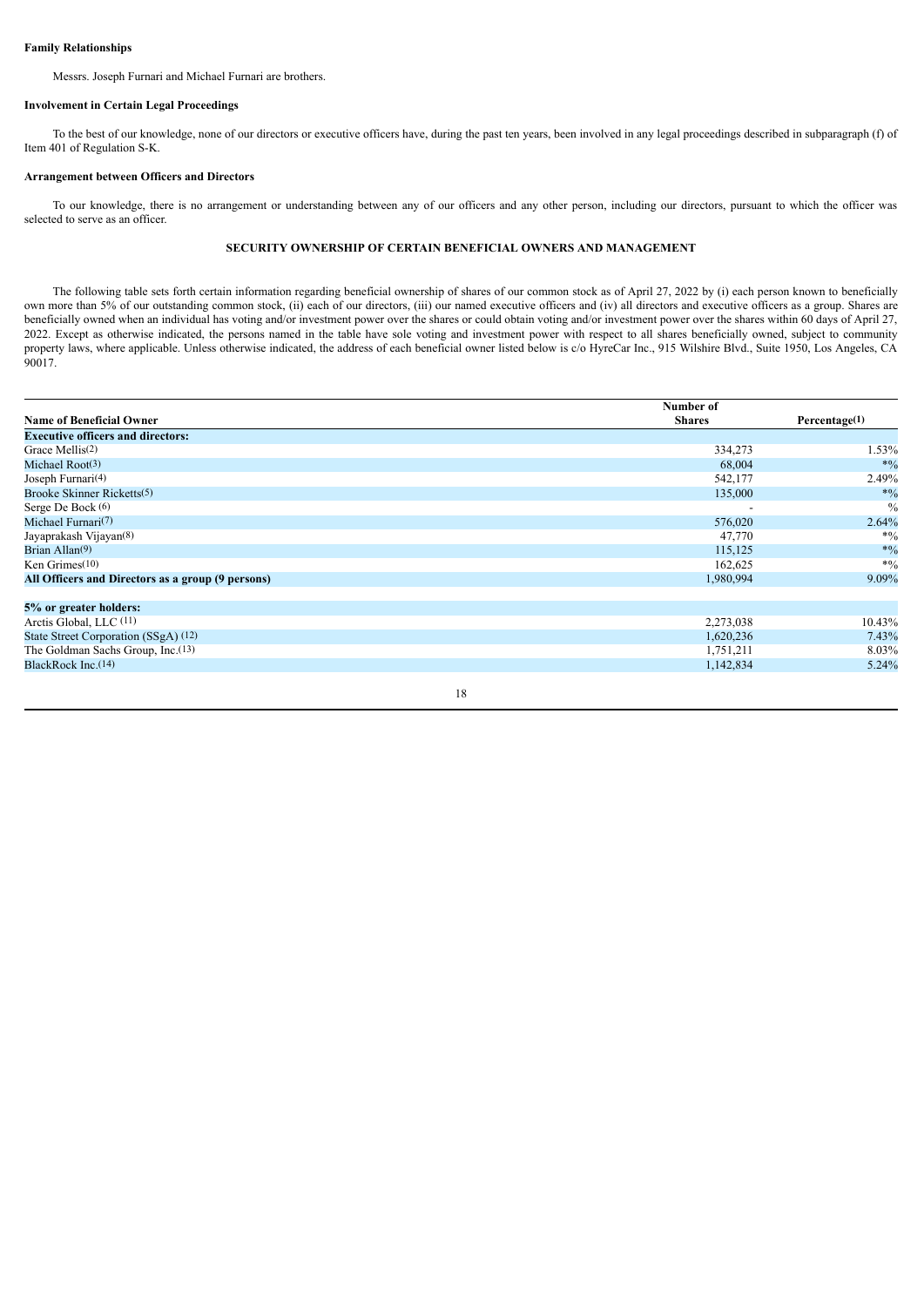# **Family Relationships**

Messrs. Joseph Furnari and Michael Furnari are brothers.

# **Involvement in Certain Legal Proceedings**

To the best of our knowledge, none of our directors or executive officers have, during the past ten years, been involved in any legal proceedings described in subparagraph (f) of Item 401 of Regulation S-K.

# **Arrangement between Officers and Directors**

To our knowledge, there is no arrangement or understanding between any of our officers and any other person, including our directors, pursuant to which the officer was selected to serve as an officer.

# **SECURITY OWNERSHIP OF CERTAIN BENEFICIAL OWNERS AND MANAGEMENT**

The following table sets forth certain information regarding beneficial ownership of shares of our common stock as of April 27, 2022 by (i) each person known to beneficially own more than 5% of our outstanding common stock, (ii) each of our directors, (iii) our named executive officers and (iv) all directors and executive officers as a group. Shares are beneficially owned when an individual has voting and/or investment power over the shares or could obtain voting and/or investment power over the shares within 60 days of April 27, 2022. Except as otherwise indicated, the persons named in the table have sole voting and investment power with respect to all shares beneficially owned, subject to community property laws, where applicable. Unless otherwise indicated, the address of each beneficial owner listed below is c/o HyreCar Inc., 915 Wilshire Blvd., Suite 1950, Los Angeles, CA  $90017.$ 

|                                                   | Number of     |               |
|---------------------------------------------------|---------------|---------------|
| <b>Name of Beneficial Owner</b>                   | <b>Shares</b> | Percentage(1) |
| <b>Executive officers and directors:</b>          |               |               |
| Grace Mellis(2)                                   | 334,273       | 1.53%         |
| Michael Root(3)                                   | 68,004        | $*0/0$        |
| Joseph Furnari <sup>(4)</sup>                     | 542,177       | 2.49%         |
| Brooke Skinner Ricketts(5)                        | 135,000       | $*9/0$        |
| Serge De Bock (6)                                 |               | $\frac{0}{0}$ |
| Michael Furnari <sup>(7)</sup>                    | 576,020       | 2.64%         |
| Jayaprakash Vijayan <sup>(8)</sup>                | 47,770        | $*0/0$        |
| Brian Allan <sup>(9)</sup>                        | 115,125       | $*9/0$        |
| Ken Grimes $(10)$                                 | 162,625       | $*9/0$        |
| All Officers and Directors as a group (9 persons) | 1,980,994     | 9.09%         |
| 5% or greater holders:                            |               |               |
| Arctis Global, LLC (11)                           | 2,273,038     | 10.43%        |
| State Street Corporation (SSgA) (12)              | 1,620,236     | 7.43%         |
| The Goldman Sachs Group, Inc.(13)                 | 1,751,211     | 8.03%         |
| BlackRock Inc.(14)                                | 1,142,834     | 5.24%         |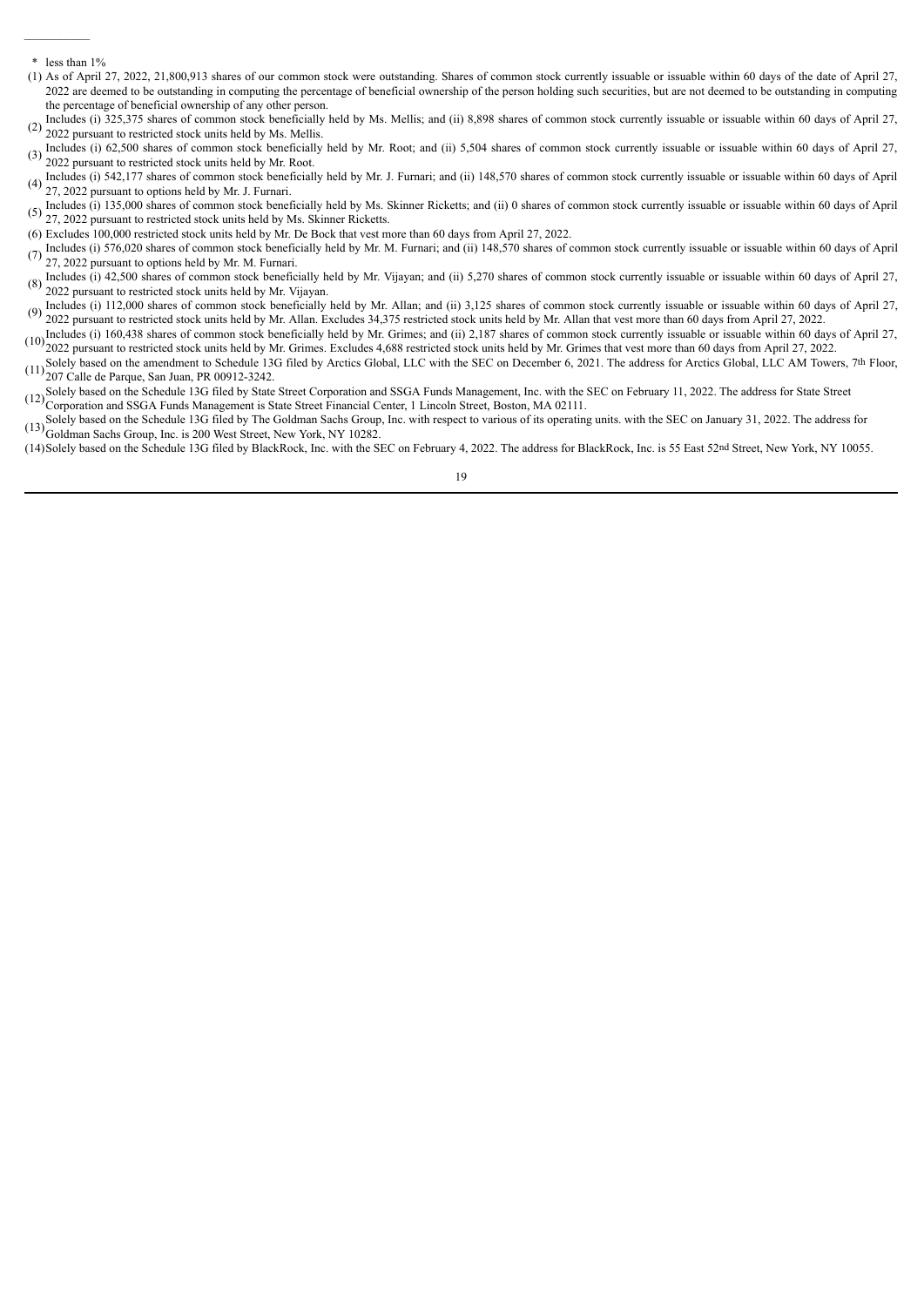\* less than 1%

 $\mathcal{L}=\mathcal{L}^{\mathcal{L}}$ 

- (1) As of April 27, 2022, 21,800,913 shares of our common stock were outstanding. Shares of common stock currently issuable or issuable within 60 days of the date of April 27, 2022 are deemed to be outstanding in computing the percentage of beneficial ownership of the person holding such securities, but are not deemed to be outstanding in computing the percentage of beneficial ownership of any other person.
- Includes (i) 325,375 shares of common stock beneficially held by Ms. Mellis; and (ii) 8,898 shares of common stock currently issuable or issuable within 60 days of April 27, 2022 support to related at a banaic hald by Ms. 2022 pursuant to restricted stock units held by Ms. Mellis.
- (3) Includes (i) 62,500 shares of common stock beneficially held by Mr. Root; and (ii) 5,504 shares of common stock currently issuable or issuable within 60 days of April 27, 2022 numerate rectricted steels with held by M 2022 pursuant to restricted stock units held by Mr. Root.
- $(4)$  mentions (1)  $3+2$ ,  $177$  shares of common stock beneficially  $27$ ,  $2022$  pursuant to options held by Mr. J. Furnari. Includes (i) 542,177 shares of common stock beneficially held by Mr. J. Furnari; and (ii) 148,570 shares of common stock currently issuable or issuable within 60 days of April
- (5) 27, 2022 pursuant to restricted stock units held by Ms. Skinner Ricketts. Includes (i) 135,000 shares of common stock beneficially held by Ms. Skinner Ricketts; and (ii) 0 shares of common stock currently issuable or issuable within 60 days of April
- (6) Excludes 100,000 restricted stock units held by Mr. De Bock that vest more than 60 days from April 27, 2022.
- (7) Includes (i) 576,020 shares of common stock beneficially held by Mr. M. Furnari; and (ii) 148,570 shares of common stock currently issuable or issuable within 60 days of April 27, 2022 surguest to exting held by Mr. M 27, 2022 pursuant to options held by Mr. M. Furnari.
- (8) Includes (i) 42,500 shares of common stock beneficially held by Mr. Vijayan; and (ii) 5,270 shares of common stock currently issuable or issuable within 60 days of April 27, 2000 support to related at a bandia label a 2022 pursuant to restricted stock units held by Mr. Vijayan.
- (9) Includes (i) 112,000 shares of common stock beneficially held by Mr. Allan; and (ii) 3,125 shares of common stock currently issuable or issuable within 60 days of April 27, 2022 pursuant to restricted stock units held by Mr. Allan. Excludes 34,375 restricted stock units held by Mr. Allan that vest more than 60 days from April 27, 2022.
- (10) Includes (i) 160,438 shares of common stock beneficially held by Mr. Grimes; and (ii) 2,187 shares of common stock currently issuable or issuable within 60 days of April 27,  $\frac{1}{2}$ ,  $\frac{1}{2}$ 2022 pursuant to restricted stock units held by Mr. Grimes. Excludes 4,688 restricted stock units held by Mr. Grimes that vest more than 60 days from April 27, 2022.
- $(11)$  207 Calle de Parque, San Juan, PR 00912-3242. Solely based on the amendment to Schedule 13G filed by Arctics Global, LLC with the SEC on December 6, 2021. The address for Arctics Global, LLC AM Towers, 7th Floor,
- (12) Solely based on the Schedule 13G filed by State Street Corporation and SSGA Funds Management, Inc. with the SEC on February 11, 2022. The address for State Street  $(12)$  Generation and SSGA Funds Management,  $R_{\text{total}}$ Corporation and SSGA Funds Management is State Street Financial Center, 1 Lincoln Street, Boston, MA 02111.
- (13) Goldman Sachs Group, Inc. is 200 West Street, New York, NY 10282. Solely based on the Schedule 13G filed by The Goldman Sachs Group, Inc. with respect to various of its operating units. with the SEC on January 31, 2022. The address for
- (14)Solely based on the Schedule 13G filed by BlackRock, Inc. with the SEC on February 4, 2022. The address for BlackRock, Inc. is 55 East 52nd Street, New York, NY 10055.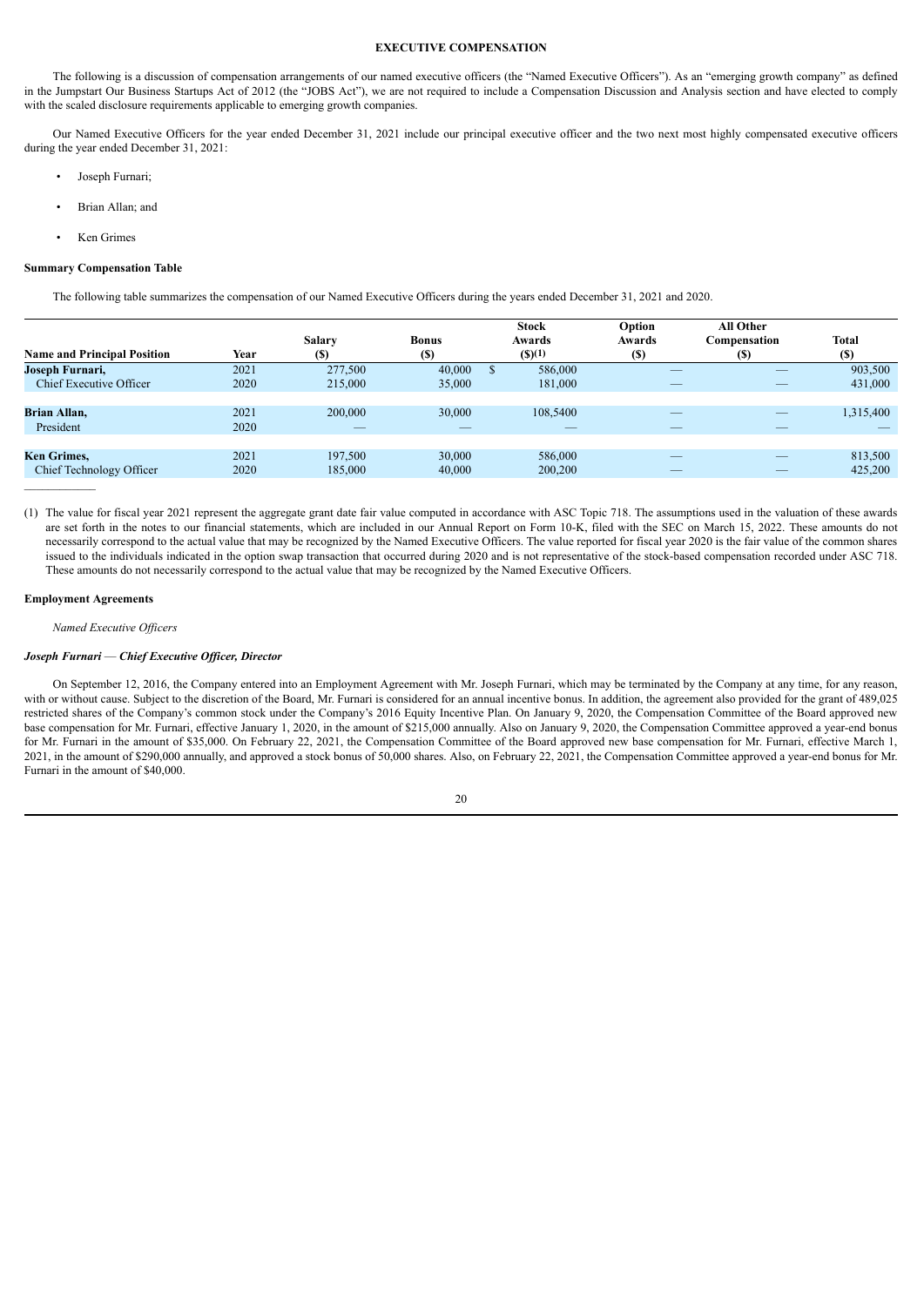# **EXECUTIVE COMPENSATION**

The following is a discussion of compensation arrangements of our named executive officers (the "Named Executive Officers"). As an "emerging growth company" as defined in the Jumpstart Our Business Startups Act of 2012 (the "JOBS Act"), we are not required to include a Compensation Discussion and Analysis section and have elected to comply with the scaled disclosure requirements applicable to emerging growth companies.

Our Named Executive Officers for the year ended December 31, 2021 include our principal executive officer and the two next most highly compensated executive officers during the year ended December 31, 2021:

- Joseph Furnari;
- Brian Allan; and
- Ken Grimes

#### **Summary Compensation Table**

The following table summarizes the compensation of our Named Executive Officers during the years ended December 31, 2021 and 2020.

| <b>Name and Principal Position</b>                | Year         | <b>Salary</b><br>(S) | <b>Bonus</b><br>(S) | <b>Stock</b><br>Awards<br>(S)(1) | Option<br>Awards<br>(S) | <b>All Other</b><br>Compensation<br>(S) | <b>Total</b><br><b>(S)</b> |
|---------------------------------------------------|--------------|----------------------|---------------------|----------------------------------|-------------------------|-----------------------------------------|----------------------------|
| Joseph Furnari,<br><b>Chief Executive Officer</b> | 2021<br>2020 | 277,500<br>215,000   | 40,000<br>35,000    | 586,000<br>181,000               | _                       |                                         | 903,500<br>431,000         |
| <b>Brian Allan,</b><br>President                  | 2021<br>2020 | 200,000              | 30,000              | 108,5400                         |                         |                                         | 1,315,400                  |
| <b>Ken Grimes,</b><br>Chief Technology Officer    | 2021<br>2020 | 197.500<br>185,000   | 30.000<br>40,000    | 586,000<br>200,200               | $-$                     | $\overline{\phantom{a}}$                | 813,500<br>425,200         |

(1) The value for fiscal year 2021 represent the aggregate grant date fair value computed in accordance with ASC Topic 718. The assumptions used in the valuation of these awards are set forth in the notes to our financial statements, which are included in our Annual Report on Form 10-K, filed with the SEC on March 15, 2022. These amounts do not necessarily correspond to the actual value that may be recognized by the Named Executive Officers. The value reported for fiscal year 2020 is the fair value of the common shares issued to the individuals indicated in the option swap transaction that occurred during 2020 and is not representative of the stock-based compensation recorded under ASC 718. These amounts do not necessarily correspond to the actual value that may be recognized by the Named Executive Officers.

### **Employment Agreements**

*Named Executive Of icers*

# *Joseph Furnari* — *Chief Executive Of icer, Director*

On September 12, 2016, the Company entered into an Employment Agreement with Mr. Joseph Furnari, which may be terminated by the Company at any time, for any reason, with or without cause. Subject to the discretion of the Board, Mr. Furnari is considered for an annual incentive bonus. In addition, the agreement also provided for the grant of 489,025 restricted shares of the Company's common stock under the Company's 2016 Equity Incentive Plan. On January 9, 2020, the Compensation Committee of the Board approved new base compensation for Mr. Furnari, effective January 1, 2020, in the amount of \$215,000 annually. Also on January 9, 2020, the Compensation Committee approved a year-end bonus for Mr. Furnari in the amount of \$35,000. On February 22, 2021, the Compensation Committee of the Board approved new base compensation for Mr. Furnari, effective March 1, 2021, in the amount of \$290,000 annually, and approved a stock bonus of 50,000 shares. Also, on February 22, 2021, the Compensation Committee approved a year-end bonus for Mr. Furnari in the amount of \$40,000.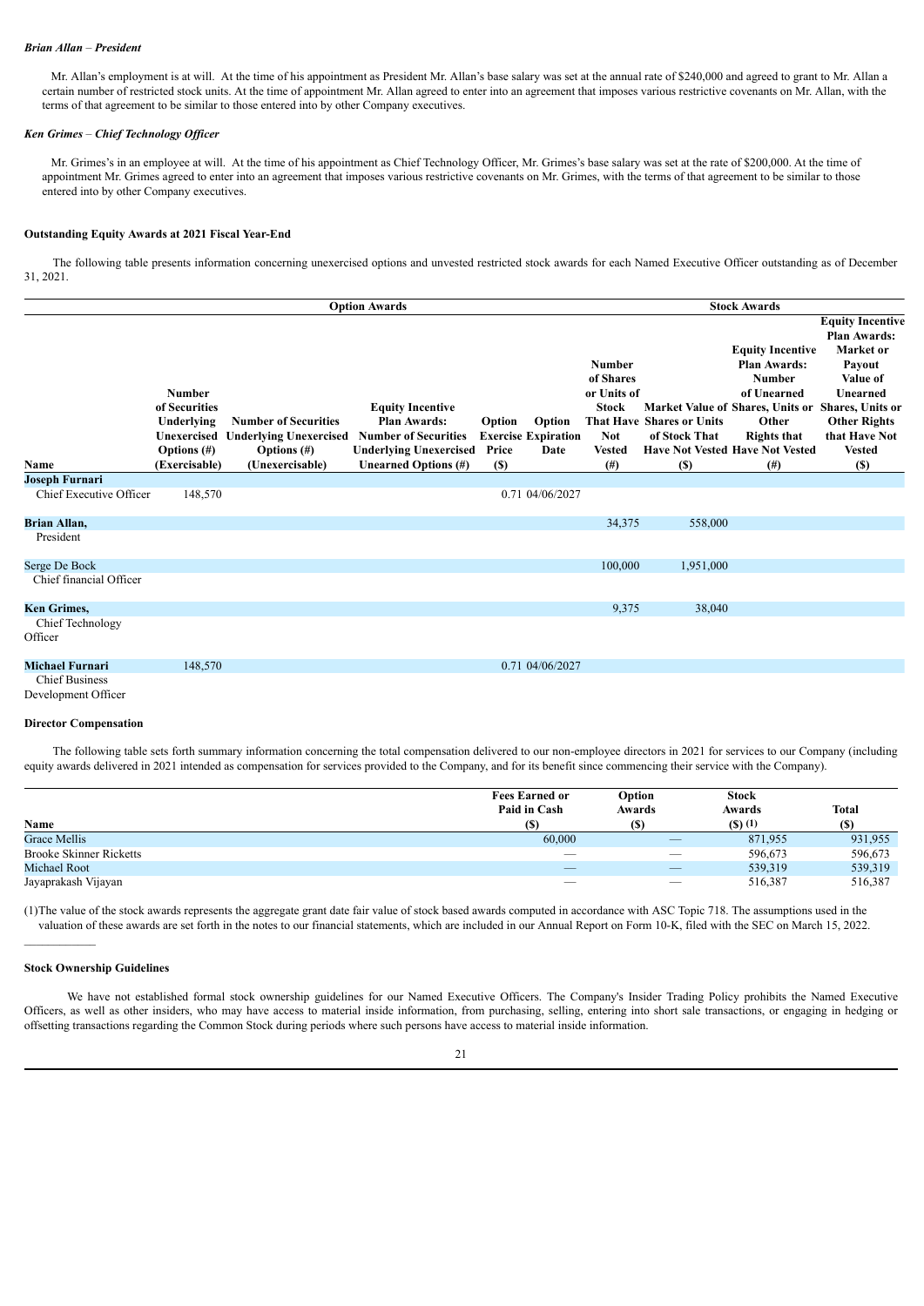### *Brian Allan* – *President*

Mr. Allan's employment is at will. At the time of his appointment as President Mr. Allan's base salary was set at the annual rate of \$240,000 and agreed to grant to Mr. Allan a certain number of restricted stock units. At the time of appointment Mr. Allan agreed to enter into an agreement that imposes various restrictive covenants on Mr. Allan, with the terms of that agreement to be similar to those entered into by other Company executives.

# *Ken Grimes* – *Chief Technology Of icer*

Mr. Grimes's in an employee at will. At the time of his appointment as Chief Technology Officer, Mr. Grimes's base salary was set at the rate of \$200,000. At the time of appointment Mr. Grimes agreed to enter into an agreement that imposes various restrictive covenants on Mr. Grimes, with the terms of that agreement to be similar to those entered into by other Company executives.

# **Outstanding Equity Awards at 2021 Fiscal Year-End**

The following table presents information concerning unexercised options and unvested restricted stock awards for each Named Executive Officer outstanding as of December 31, 2021.

|                                                  |                                                                               |                                                                                | <b>Option Awards</b>                                                                                           |                 |                                              |                                                                                          |                                                   | <b>Stock Awards</b>                                                                                                                                                                  |                                                                                                                                                                            |
|--------------------------------------------------|-------------------------------------------------------------------------------|--------------------------------------------------------------------------------|----------------------------------------------------------------------------------------------------------------|-----------------|----------------------------------------------|------------------------------------------------------------------------------------------|---------------------------------------------------|--------------------------------------------------------------------------------------------------------------------------------------------------------------------------------------|----------------------------------------------------------------------------------------------------------------------------------------------------------------------------|
|                                                  | <b>Number</b><br>of Securities<br>Underlying<br>Unexercised<br>Options $(\#)$ | <b>Number of Securities</b><br><b>Underlying Unexercised</b><br>Options $(\#)$ | <b>Equity Incentive</b><br><b>Plan Awards:</b><br><b>Number of Securities</b><br><b>Underlying Unexercised</b> | Option<br>Price | Option<br><b>Exercise Expiration</b><br>Date | <b>Number</b><br>of Shares<br>or Units of<br><b>Stock</b><br><b>Not</b><br><b>Vested</b> | <b>That Have Shares or Units</b><br>of Stock That | <b>Equity Incentive</b><br>Plan Awards:<br><b>Number</b><br>of Unearned<br>Market Value of Shares, Units or<br>Other<br><b>Rights that</b><br><b>Have Not Vested Have Not Vested</b> | <b>Equity Incentive</b><br><b>Plan Awards:</b><br>Market or<br>Payout<br>Value of<br>Unearned<br>Shares, Units or<br><b>Other Rights</b><br>that Have Not<br><b>Vested</b> |
| Name                                             | (Exercisable)                                                                 | (Unexercisable)                                                                | Unearned Options (#)                                                                                           | <b>(S)</b>      |                                              | $^{(#)}$                                                                                 | (S)                                               | (# )                                                                                                                                                                                 | (S)                                                                                                                                                                        |
| <b>Joseph Furnari</b><br>Chief Executive Officer | 148,570                                                                       |                                                                                |                                                                                                                |                 | 0.71 04/06/2027                              |                                                                                          |                                                   |                                                                                                                                                                                      |                                                                                                                                                                            |
| Brian Allan,                                     |                                                                               |                                                                                |                                                                                                                |                 |                                              | 34,375                                                                                   | 558,000                                           |                                                                                                                                                                                      |                                                                                                                                                                            |
| President                                        |                                                                               |                                                                                |                                                                                                                |                 |                                              |                                                                                          |                                                   |                                                                                                                                                                                      |                                                                                                                                                                            |
| Serge De Bock                                    |                                                                               |                                                                                |                                                                                                                |                 |                                              | 100,000                                                                                  | 1,951,000                                         |                                                                                                                                                                                      |                                                                                                                                                                            |
| Chief financial Officer                          |                                                                               |                                                                                |                                                                                                                |                 |                                              |                                                                                          |                                                   |                                                                                                                                                                                      |                                                                                                                                                                            |
| <b>Ken Grimes,</b>                               |                                                                               |                                                                                |                                                                                                                |                 |                                              | 9,375                                                                                    | 38,040                                            |                                                                                                                                                                                      |                                                                                                                                                                            |
| <b>Chief Technology</b><br>Officer               |                                                                               |                                                                                |                                                                                                                |                 |                                              |                                                                                          |                                                   |                                                                                                                                                                                      |                                                                                                                                                                            |
| <b>Michael Furnari</b>                           | 148,570                                                                       |                                                                                |                                                                                                                |                 | 0.71 04/06/2027                              |                                                                                          |                                                   |                                                                                                                                                                                      |                                                                                                                                                                            |
| <b>Chief Business</b><br>Development Officer     |                                                                               |                                                                                |                                                                                                                |                 |                                              |                                                                                          |                                                   |                                                                                                                                                                                      |                                                                                                                                                                            |

### **Director Compensation**

The following table sets forth summary information concerning the total compensation delivered to our non-employee directors in 2021 for services to our Company (including equity awards delivered in 2021 intended as compensation for services provided to the Company, and for its benefit since commencing their service with the Company).

| Name                           | <b>Fees Earned or</b><br>Paid in Cash<br><b>(S)</b> | Option<br>Awards<br><b>(S)</b> | <b>Stock</b><br>Awards<br>$($ S $)$ $(1)$ | <b>Total</b><br>(S) |
|--------------------------------|-----------------------------------------------------|--------------------------------|-------------------------------------------|---------------------|
| <b>Grace Mellis</b>            | 60,000                                              |                                | 871,955                                   | 931,955             |
| <b>Brooke Skinner Ricketts</b> |                                                     |                                | 596,673                                   | 596,673             |
| Michael Root                   | $\overline{\phantom{a}}$                            | $\overline{\phantom{a}}$       | 539,319                                   | 539,319             |
| Jayaprakash Vijayan            |                                                     | $\overline{\phantom{0}}$       | 516,387                                   | 516,387             |

(1)The value of the stock awards represents the aggregate grant date fair value of stock based awards computed in accordance with ASC Topic 718. The assumptions used in the valuation of these awards are set forth in the notes to our financial statements, which are included in our Annual Report on Form 10-K, filed with the SEC on March 15, 2022.

#### **Stock Ownership Guidelines**

 $\mathcal{L}_\text{max}$ 

We have not established formal stock ownership guidelines for our Named Executive Officers. The Company's Insider Trading Policy prohibits the Named Executive Officers, as well as other insiders, who may have access to material inside information, from purchasing, selling, entering into short sale transactions, or engaging in hedging or offsetting transactions regarding the Common Stock during periods where such persons have access to material inside information.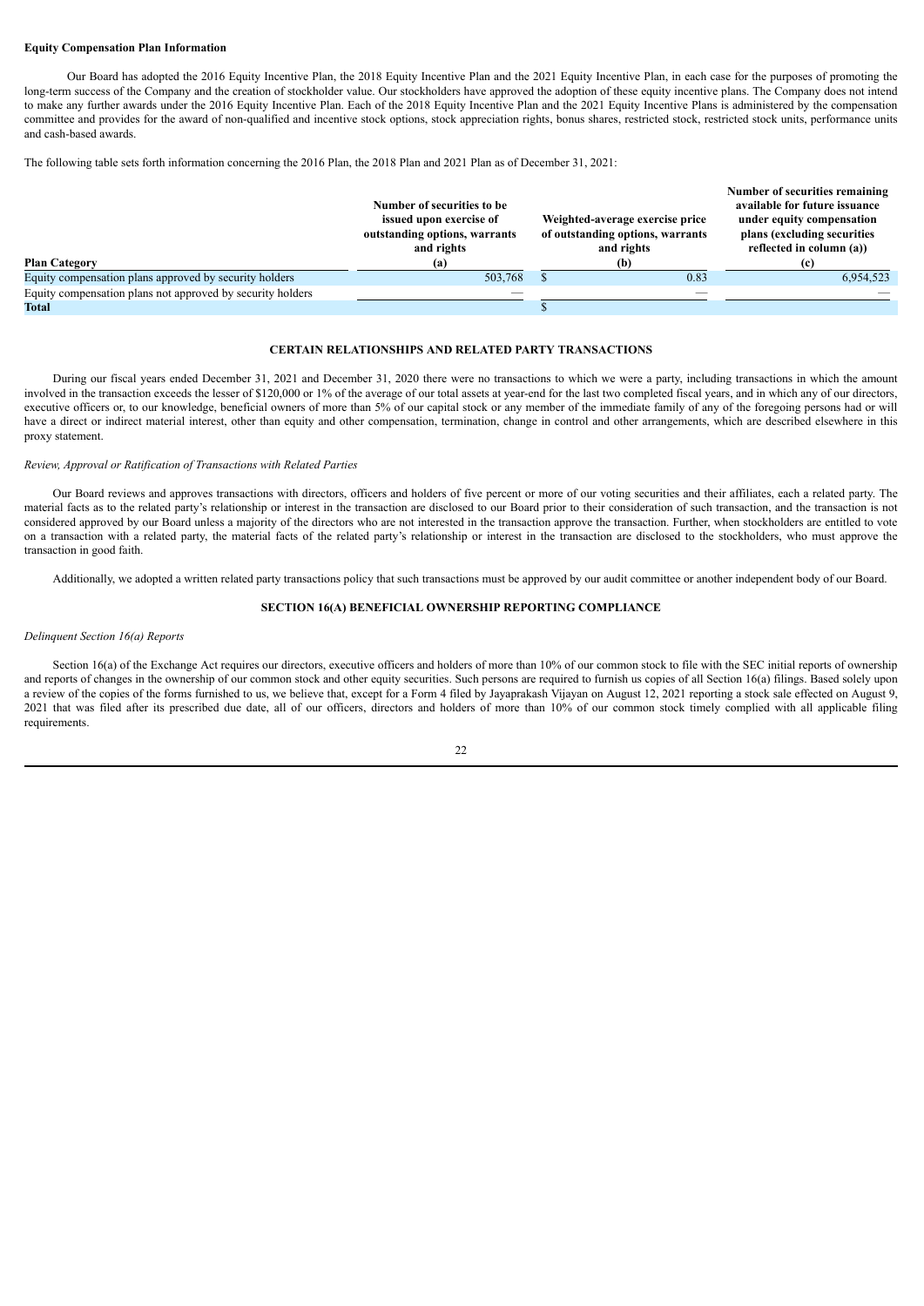# **Equity Compensation Plan Information**

Our Board has adopted the 2016 Equity Incentive Plan, the 2018 Equity Incentive Plan and the 2021 Equity Incentive Plan, in each case for the purposes of promoting the long-term success of the Company and the creation of stockholder value. Our stockholders have approved the adoption of these equity incentive plans. The Company does not intend to make any further awards under the 2016 Equity Incentive Plan. Each of the 2018 Equity Incentive Plan and the 2021 Equity Incentive Plans is administered by the compensation committee and provides for the award of non-qualified and incentive stock options, stock appreciation rights, bonus shares, restricted stock, restricted stock units, performance units and cash-based awards.

The following table sets forth information concerning the 2016 Plan, the 2018 Plan and 2021 Plan as of December 31, 2021:

|                                                            |                               |                                  | Number of securities remaining |
|------------------------------------------------------------|-------------------------------|----------------------------------|--------------------------------|
|                                                            | Number of securities to be    |                                  | available for future issuance  |
|                                                            | issued upon exercise of       | Weighted-average exercise price  | under equity compensation      |
|                                                            | outstanding options, warrants | of outstanding options, warrants | plans (excluding securities)   |
|                                                            | and rights                    | and rights                       | reflected in column (a))       |
| <b>Plan Category</b>                                       | (a)                           | (b)                              |                                |
| Equity compensation plans approved by security holders     | 503,768                       | 0.83                             | 6,954,523                      |
| Equity compensation plans not approved by security holders |                               |                                  |                                |
| Total                                                      |                               |                                  |                                |

# **CERTAIN RELATIONSHIPS AND RELATED PARTY TRANSACTIONS**

During our fiscal years ended December 31, 2021 and December 31, 2020 there were no transactions to which we were a party, including transactions in which the amount involved in the transaction exceeds the lesser of \$120,000 or 1% of the average of our total assets at year-end for the last two completed fiscal years, and in which any of our directors, executive officers or, to our knowledge, beneficial owners of more than 5% of our capital stock or any member of the immediate family of any of the foregoing persons had or will have a direct or indirect material interest, other than equity and other compensation, termination, change in control and other arrangements, which are described elsewhere in this proxy statement.

### *Review, Approval or Ratification of Transactions with Related Parties*

Our Board reviews and approves transactions with directors, officers and holders of five percent or more of our voting securities and their affiliates, each a related party. The material facts as to the related party's relationship or interest in the transaction are disclosed to our Board prior to their consideration of such transaction, and the transaction is not considered approved by our Board unless a majority of the directors who are not interested in the transaction approve the transaction. Further, when stockholders are entitled to vote on a transaction with a related party, the material facts of the related party's relationship or interest in the transaction are disclosed to the stockholders, who must approve the transaction in good faith.

Additionally, we adopted a written related party transactions policy that such transactions must be approved by our audit committee or another independent body of our Board.

# **SECTION 16(A) BENEFICIAL OWNERSHIP REPORTING COMPLIANCE**

# *Delinquent Section 16(a) Reports*

Section 16(a) of the Exchange Act requires our directors, executive officers and holders of more than 10% of our common stock to file with the SEC initial reports of ownership and reports of changes in the ownership of our common stock and other equity securities. Such persons are required to furnish us copies of all Section 16(a) filings. Based solely upon a review of the copies of the forms furnished to us, we believe that, except for a Form 4 filed by Jayaprakash Vijayan on August 12, 2021 reporting a stock sale effected on August 9, 2021 that was filed after its prescribed due date, all of our officers, directors and holders of more than 10% of our common stock timely complied with all applicable filing requirements.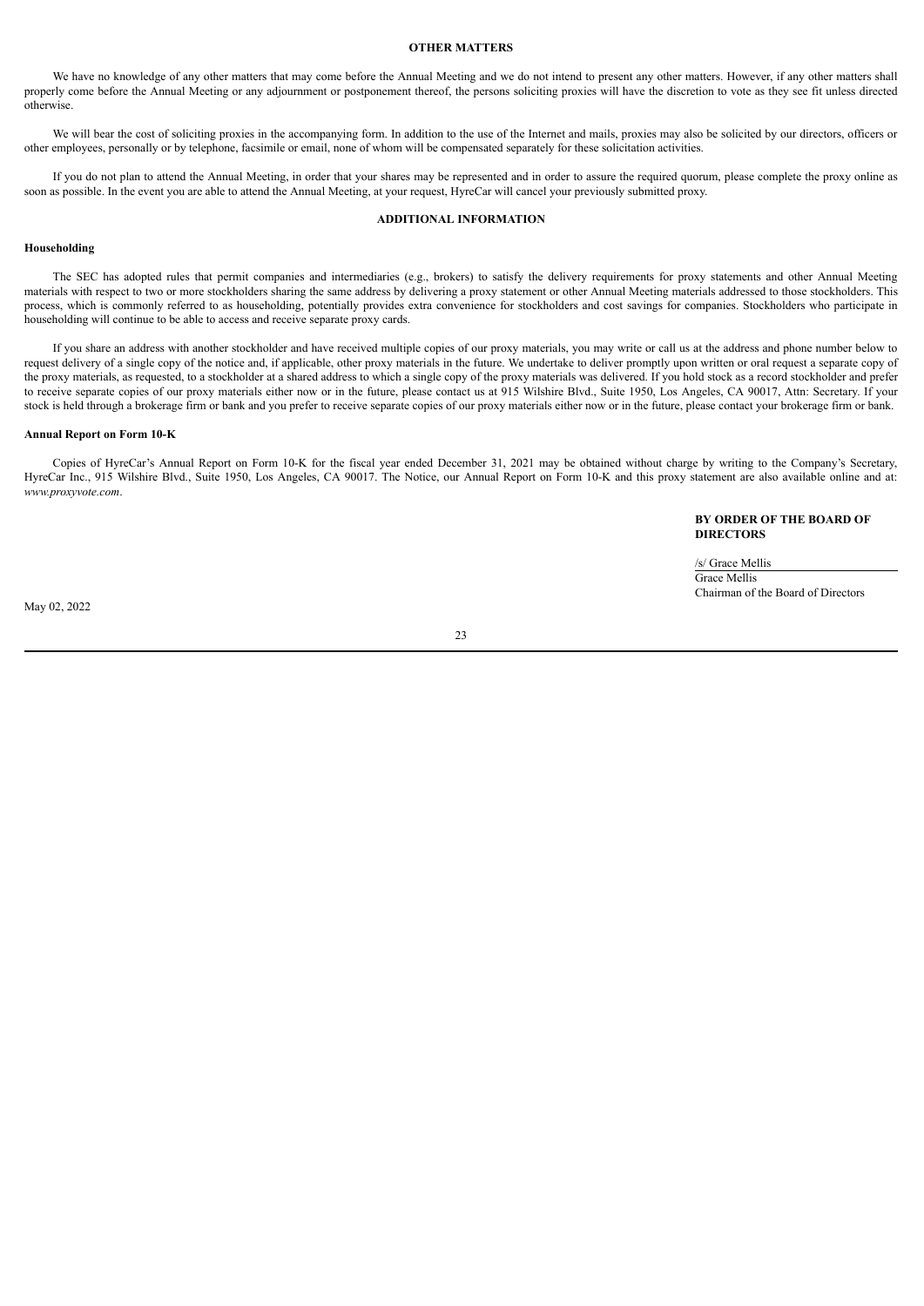# **OTHER MATTERS**

We have no knowledge of any other matters that may come before the Annual Meeting and we do not intend to present any other matters. However, if any other matters shall properly come before the Annual Meeting or any adjournment or postponement thereof, the persons soliciting proxies will have the discretion to vote as they see fit unless directed otherwise.

We will bear the cost of soliciting proxies in the accompanying form. In addition to the use of the Internet and mails, proxies may also be solicited by our directors, officers or other employees, personally or by telephone, facsimile or email, none of whom will be compensated separately for these solicitation activities.

If you do not plan to attend the Annual Meeting, in order that your shares may be represented and in order to assure the required quorum, please complete the proxy online as soon as possible. In the event you are able to attend the Annual Meeting, at your request, HyreCar will cancel your previously submitted proxy.

# **ADDITIONAL INFORMATION**

# **Householding**

The SEC has adopted rules that permit companies and intermediaries (e.g., brokers) to satisfy the delivery requirements for proxy statements and other Annual Meeting materials with respect to two or more stockholders sharing the same address by delivering a proxy statement or other Annual Meeting materials addressed to those stockholders. This process, which is commonly referred to as householding, potentially provides extra convenience for stockholders and cost savings for companies. Stockholders who participate in householding will continue to be able to access and receive separate proxy cards.

If you share an address with another stockholder and have received multiple copies of our proxy materials, you may write or call us at the address and phone number below to request delivery of a single copy of the notice and, if applicable, other proxy materials in the future. We undertake to deliver promptly upon written or oral request a separate copy of the proxy materials, as requested, to a stockholder at a shared address to which a single copy of the proxy materials was delivered. If you hold stock as a record stockholder and prefer to receive separate copies of our proxy materials either now or in the future, please contact us at 915 Wilshire Blvd., Suite 1950, Los Angeles, CA 90017, Attn: Secretary. If your stock is held through a brokerage firm or bank and you prefer to receive separate copies of our proxy materials either now or in the future, please contact your brokerage firm or bank.

# **Annual Report on Form 10-K**

Copies of HyreCar's Annual Report on Form 10-K for the fiscal year ended December 31, 2021 may be obtained without charge by writing to the Company's Secretary, HyreCar Inc., 915 Wilshire Blvd., Suite 1950, Los Angeles, CA 90017. The Notice, our Annual Report on Form 10-K and this proxy statement are also available online and at: *www.proxyvote.com*.

> **BY ORDER OF THE BOARD OF DIRECTORS**

/s/ Grace Mellis Grace Mellis Chairman of the Board of Directors

May 02, 2022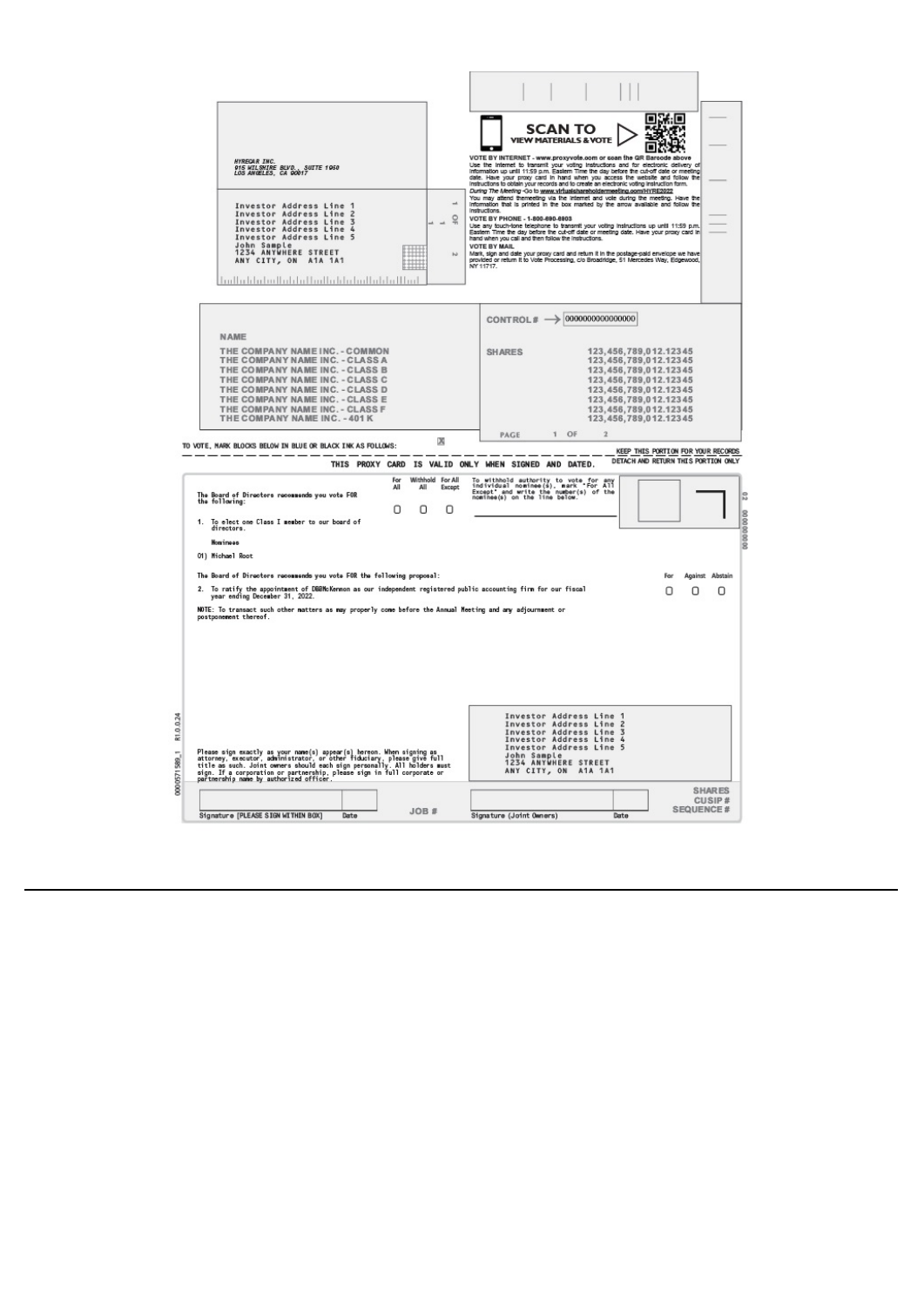